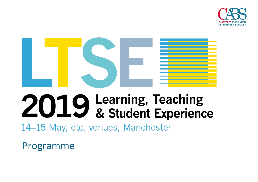



# 2019 Learning, Teaching<br>& Student Experience

14–15 May, etc. venues, Manchester

Programme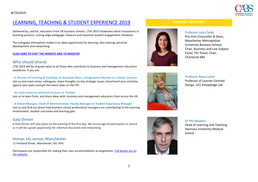

### [LEARNING, TEACHING & STUDENT EXPERIENCE 2019](https://charteredabs.org/events/ltse2019/)

Delivered by, and for, educators from UK business schools, **LTSE 2019** showcases latest innovations in teaching practice, cutting-edge pedagogic research and inventive student engagement initiatives.

The collegiate atmosphere makes it an ideal opportunity for learning, idea-sharing, personal development and networking.

#### **[CLICK HERE TO VISIT THE WEBSITE AND TO REGISTER](https://charteredabs.org/events/ltse2019/)**

#### Who should attend:

LTSE 2019 will be of great value to all those who contribute to business and management education excellence. If you are:

**- A Director of Learning & Teaching, an Associate Dean, a Programme Director or a Senior Lecturer** Join us and meet senior colleagues, share thoughts on key strategic issues, benchmark your activities against your peers and get the latest news on the TEF.

- **An early-career or mid-level Lecturer or Teacher**

Join us to learn from, and share ideas with, business and management educators from across the UK.

**- A School Manager, Head of Administration, Faculty Manager or Student Experience Manager** Join us and find out about how business school professional managers are contributing to the learning environment, student outcomes and learning gain.

#### Gala Dinner

A Gala Dinner will take place on the evening of the first day. We encourage all participants to attend as it will be a great opportunity for informal discussion and networking.

#### Venue: etc.venue, Manchester

11 Portland Street, Manchester, M1 3HU

Participants are responsible for making their own accommodation arrangements. [Full details are on](https://charteredabs.org/events/ltse2019/)  [the website.](https://charteredabs.org/events/ltse2019/)

#### **Keynote Speakers**



#### Professor Julia Clarke

Pro-Vice-Chancellor & Dean, Manchester Metropolitan University Business School; Chair, Business and Law Subject Panel, TEF Panel; Chair, Chartered ABS



Professor Rose Luckin Professor of Learner Centred Design, UCL Knowledge Lab



Dr Phil Newton Head of Learning and Teaching Swansea University Medical School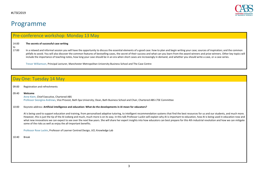# Programme

| Pre-conference workshop: Monday 13 May |  |  |
|----------------------------------------|--|--|
|----------------------------------------|--|--|

#### 14:00 **The secrets of successful case writing**

to

17:00 In a relaxed and informal session you will have the opportunity to discuss the essential elements of a good case: how to plan and begin writing your case; sources of inspiration; and the common pitfalls to avoid. You will also discover the common features of bestselling cases, the secret of their success and what can you learn from the award winners and prize-winners. Other key topics will include the importance of teaching notes, how long your case should be in an era when short cases are increasingly in demand, and whether you should write a case, or a case series.

Trevor Williamson, Principal Lecturer, Manchester Metropolitan University Business School and The Case Centre

|       | Day One: Tuesday 14 May                                                                                                                                                                                                                                                                                                                                                                                                                                                                                                                                                                                                                                                                    |
|-------|--------------------------------------------------------------------------------------------------------------------------------------------------------------------------------------------------------------------------------------------------------------------------------------------------------------------------------------------------------------------------------------------------------------------------------------------------------------------------------------------------------------------------------------------------------------------------------------------------------------------------------------------------------------------------------------------|
| 09:00 | Registration and refreshments                                                                                                                                                                                                                                                                                                                                                                                                                                                                                                                                                                                                                                                              |
| 09:40 | Welcome<br>Anne Kiem, Chief Executive, Chartered ABS<br>Professor Georgina Andrews, Vice Provost, Bath Spa University; Dean, Bath Business School and Chair, Chartered ABS LTSE Committee                                                                                                                                                                                                                                                                                                                                                                                                                                                                                                  |
| 10:00 | Keynote address: Artificial intelligence and education: What do the developments in AI mean for educators?                                                                                                                                                                                                                                                                                                                                                                                                                                                                                                                                                                                 |
|       | Al is being used to support education and training, from personalised adaptive tutoring, to intelligent recommendation systems that find the best resources for us and our students, and much more.<br>However, this is just the tip of the AI iceberg and much, much more is on its way. In this talk Professor Luckin will explain why AI is important to education, how AI is being used in education now and<br>what new innovations we can expect to see over the next few years. She will share her expert insights into how educators can best prepare for this 4th industrial revolution and how we can mitigate<br>some of the risks as well as enjoy the all-important benefits. |
|       | Professor Rose Luckin, Professor of Learner Centred Design, UCL Knowledge Lab                                                                                                                                                                                                                                                                                                                                                                                                                                                                                                                                                                                                              |
| 10:40 | Break                                                                                                                                                                                                                                                                                                                                                                                                                                                                                                                                                                                                                                                                                      |
|       |                                                                                                                                                                                                                                                                                                                                                                                                                                                                                                                                                                                                                                                                                            |
|       |                                                                                                                                                                                                                                                                                                                                                                                                                                                                                                                                                                                                                                                                                            |
|       |                                                                                                                                                                                                                                                                                                                                                                                                                                                                                                                                                                                                                                                                                            |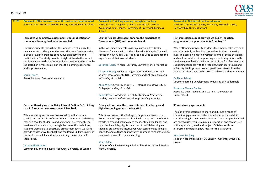

| <b>Breakout i: Effective assessment &amp; constructive feed-forward</b><br>Session Chair: Professor Monika Foster, Educational Consultant                                                                                                                                                                                                                                                                                                                                  | <b>Breakout ii: Enriching learning through technology</b><br>Session Chair: Dr Agnieszka Herdan, Principal Lecturer,                                                                                                                                                                                                                                                                                                                                       | <b>Breakout iii: Outside of the box education</b><br>Session Chair: Professor Jerry Forrester, External Liaison,                                                                                                                                                                                                                                                                                                                                                                                                                                              |
|----------------------------------------------------------------------------------------------------------------------------------------------------------------------------------------------------------------------------------------------------------------------------------------------------------------------------------------------------------------------------------------------------------------------------------------------------------------------------|------------------------------------------------------------------------------------------------------------------------------------------------------------------------------------------------------------------------------------------------------------------------------------------------------------------------------------------------------------------------------------------------------------------------------------------------------------|---------------------------------------------------------------------------------------------------------------------------------------------------------------------------------------------------------------------------------------------------------------------------------------------------------------------------------------------------------------------------------------------------------------------------------------------------------------------------------------------------------------------------------------------------------------|
|                                                                                                                                                                                                                                                                                                                                                                                                                                                                            | Accounting and Finance, University of Greenwich Business<br><b>School</b>                                                                                                                                                                                                                                                                                                                                                                                  | <b>Hertfordshire Business School</b>                                                                                                                                                                                                                                                                                                                                                                                                                                                                                                                          |
| Formative vs summative assessment: Does motivation for<br>continuous learning lead to better results?                                                                                                                                                                                                                                                                                                                                                                      | Can the 'Global Classroom' enhance the experience of<br>Transnational (TNE) and home students?                                                                                                                                                                                                                                                                                                                                                             | First impressions count. How do we design induction<br>programmes to support students from Day 1?                                                                                                                                                                                                                                                                                                                                                                                                                                                             |
| Engaging students throughout the module is a challenge for<br>many educators. This paper discusses the use of an interactive<br>e-book (Revel) to promote continuous engagement and<br>participation. The study provides insights into whether or not<br>this innovative method of summative assessment, which can be<br>facilitated on a mass scale, enriches the learning experience<br>and improves marks.<br><b>Sarah Owens</b><br>Senior Lecturer, Swansea University | In this workshop delegates will take part in a live 'Global<br>Classroom' activity with students based in Malaysia. They will<br>reflect on how 'Global Classroom' can be used to enhance the<br>experience of their own students.<br>Veronica Earle, Principal Lecturer, University of Hertfordshire<br>Christine Wong, Senior Manager - Internationalization and<br>Student Development, INTI University and Colleges, Malaysia<br>(attending virtually) | When attending university students face many challenges and<br>obstacles in fully embedding themselves in their university<br>lives. This session aims to investigate some of these challenges<br>and explore solutions in supporting student integration. In this<br>session we emphasise the importance of the first few weeks in<br>supporting students with their studies, their peer groups and<br>university life in general. We ask participants to explore the<br>type of activities that can be used to achieve student outcomes.<br>Dr Abdul Jabbar |
|                                                                                                                                                                                                                                                                                                                                                                                                                                                                            | Alicia White, Senior Lecturer, INTI International University &<br>College (attending virtually)<br>Daniel Pearce, Academic English for Business Programme<br>Leader, University of Hertfordshire (attending virtually)                                                                                                                                                                                                                                     | Director Learning Development, University of Huddersfield<br><b>Professor Eleanor Davies</b><br>Associate Dean Teaching and Learning University of<br>Huddersfield                                                                                                                                                                                                                                                                                                                                                                                            |
| Get your thinking caps on: Using Edward De Bono's 6 thinking<br>hats in formative peer assessment & feedback                                                                                                                                                                                                                                                                                                                                                               | Entangled practices: the co-constitution of pedagogy and<br>digital technologies in an online MBA                                                                                                                                                                                                                                                                                                                                                          | 30 ways to engage students                                                                                                                                                                                                                                                                                                                                                                                                                                                                                                                                    |
| This stimulating and interactive workshop will introduce<br>participants to the idea of using Edward De Bono's six thinking<br>hats as a tool for students conducting peer assessment. The<br>sessions will explain how, through the use of this technique,<br>students were able to effectively assess their peers' work and<br>provide constructive feedback and feedforward. Participants in<br>the workshop will have the chance to try the technique for              | This paper presents the findings of large-scale research into<br>MBA students' experiences of online learning and the school's<br>efforts to respond holistically to the identified challenges and<br>opportunities. It highlights the extent to which learning and<br>teaching practices are interwoven with technologies in digital<br>contexts, and outlines an innovative approach to constructing a<br>new environment for online learning.           | The aim of this session is to share and discuss a range of<br>student engagement activities that educators may wish to<br>consider using in their own institutions. The examples included<br>are easy to use, require minimal preparation and can be used<br>with any student, level and subject. Suitable for those<br>interested in exploring new ideas for the classroom.<br><b>Jonathan Sandling</b>                                                                                                                                                      |
| themselves.<br>Dr Lucy Gill-Simmen<br>Lecturer in Marketing, Royal Holloway, University of London                                                                                                                                                                                                                                                                                                                                                                          | <b>Stuart Allan</b><br>Director of Online Learning, Edinburgh Business School, Heriot-<br><b>Watt University</b>                                                                                                                                                                                                                                                                                                                                           | Head of Academic Studies, CU London - Coventry University<br>Group                                                                                                                                                                                                                                                                                                                                                                                                                                                                                            |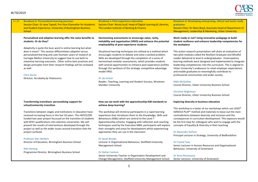

| <b>Breakout iv: Personalised learning journeys</b>               | <b>Breakout v: Post-experience education</b>                                                                | Breakout vi: Developing enterprising, ethical and work-ready                |
|------------------------------------------------------------------|-------------------------------------------------------------------------------------------------------------|-----------------------------------------------------------------------------|
| Session Chair: Dr Jane Tapsell, Pro Vice-Chancellor for Academic | Session Chair: Nicola Scull, Head of Digital Learning & Libraries,                                          | graduates                                                                   |
| and Student Experience, University of Buckingham Business        | The London Institute of Banking & Finance                                                                   | Session Chair: Dr Mary Boyd, Associate Head of Department of                |
| <b>School</b>                                                    |                                                                                                             | Management, Leadership & Marketing, Ulster University                       |
| Personalised and adaptive learning offer the same benefits to    | Harmonising assessments to encourage value, rarity,                                                         | Work ready or not? Using innovative pedagogy to build                       |
| students. Or do they?                                            | imitability and organization (VRIO) and enhance the potential<br>employability of post-experience students. | student resilience and enhance leadership competencies for<br>the workplace |
| Adaptivity is quite the buzz word in online learning but what    |                                                                                                             |                                                                             |
| does it mean? This session differentiates adaptive versus        | Situational learning techniques are utilised as a method which                                              | This action research presentation will share an evaluation of               |
| personalized learning and uses fourteen years of research at     | encourages students to debate and solve a wicked problem.                                                   | two pilot modules called the Resilient Graduate and Mindful                 |
| Carnegie Mellon University to suggest how to use both to         | Skills are developed through the completion of a series of                                                  | Leader delivered to level 6 undergraduates. Emancipatory                    |
| maximize learning outcomes. Other online best practices and      | harmonized modular assessments, which provides students                                                     | learning methods were designed and implemented to integrate                 |
| design principles from their research findings will be reviewed  | with several opportunities to enhance post-experience profiles                                              | leadership competencies into the curriculum. This is aligned to             |
| as well.                                                         | through the synthesis of the strategic competitive advantage                                                | Ulster University's endeavour to meet employer expectations                 |
|                                                                  | model VRIO.                                                                                                 | and enable graduates to meaningfully contribute to                          |
| <b>Chris Doran</b>                                               |                                                                                                             | professional communities and wider society.                                 |
| Director, Acrobatiq by Vitalsource                               | Dr Jan Green                                                                                                |                                                                             |
|                                                                  | Reader, Teaching, Learning and Student Success, Wrexham                                                     | Nikki McQuillan                                                             |
|                                                                  | <b>Glyndwr University</b>                                                                                   | Course Director, Ulster University Business School                          |
|                                                                  |                                                                                                             | <b>Christine Wightman</b>                                                   |
|                                                                  |                                                                                                             | Course Director, Ulster University Business School.                         |
|                                                                  |                                                                                                             |                                                                             |
| Transforming transitions: personalising support for              | How can we work with the apprenticeship KSB standards to                                                    | <b>Exploring diversity in business education</b>                            |
| school/university transition                                     | achieve deep learning?                                                                                      | This workshop is a taster of our workshops which use LEGO®                  |
| Transitions between stages and institutions in education have    | This workshop will immerse participants in a rapid learning                                                 | SERIOUS PLAY® method and materials to tease out the main                    |
| received increasing focus in the last 10 years. This HEFCE/OfS   | experience that introduces them to the Knowledge, Skills and                                                | contradictions between diversity and inclusion and the                      |
| funded two-year project focussed on the transition of students   | Behaviours (KSBs) which are central to the Level 7                                                          | consequences in curriculum development. This exposure would                 |
| with BTEC qualifications into selective universities. We will    | Apprenticeship scheme. Engaging with reflection and coaching                                                | be the first step for colleagues who wish to engage with the                |
| present the results of interventions developed through the       | techniques used by the Executive MBA, participants will explore                                             | concepts of Equality & Diversity in their teaching.                         |
| project as well as the wider issues around transition that the   | their strengths and areas for development whilst experiencing                                               |                                                                             |
| project surfaced.                                                | approaches they can use in the classroom.                                                                   | Dr Alexander Kofinas                                                        |
|                                                                  |                                                                                                             | Principal Lecturer in Strategy, University of Bedfordshire                  |
| <b>Professor Dan Herbert</b>                                     | <b>Dr Sarah Brooks</b>                                                                                      |                                                                             |
|                                                                  | Lecturer in Organisational Behaviour, Sheffield University                                                  | Dr Crystal Tsay                                                             |
|                                                                  | <b>Management School</b>                                                                                    | Senior Lecturer in Human Resources and Organisational                       |
| Director of Education, Birmingham Business School                |                                                                                                             | Behaviour, University of Greenwich                                          |
| <b>Rob Fleming</b>                                               |                                                                                                             |                                                                             |
| Programme Director, Birmingham Business School                   | <b>Dr Stefan Cantore</b>                                                                                    |                                                                             |
|                                                                  | Senior University Teacher in Organisation Development and                                                   | Dr Anna Romanova                                                            |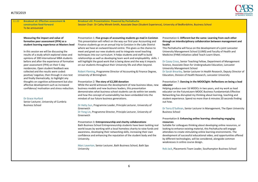#### #LTSF2019



11:20 **Breakout vii: Effective assessment & constructive feed-forward** To be announced

**Breakout vIii: Presentations: Powered by PechaKucha** Session Chair: Dr Cathy Minett-Smith, Associate Dean (Student Experience), University of Bedfordshire, Business School

#### **Measuring the impact and value of formative peer assessment (FPA) as a student learning experience at Masters level**

In this session we will be discussing the results of a study which explored views and opinions of 200 international MBA students before and after the experience of formative peer assessment (FPA) on their 5 day residencies. Open student feedback was collected and the results were coded: positive/ negative, then through in vivo text and finally thematically, to highlight any thoughts on cognitive achievement but also affective development such as increased confidence/ motivation and stress reduction.

#### Dr Grace Hurford

Senior Lecturer, University of Cumbria Business School

Presentation 1: **Five groups of accounting students go mad in Coniston**

This presentation will reflect on the way our first year Accounting and Finance students go on an annual trip to Coniston in the Lake District where we have an outward-bound centre. This gives us the chance to meet and greet our new students and to integrate novel teaching techniques into our curriculum. It helps students and staff to build relationships as well as developing team work and employability skills. I will highlight the good work that is being done and the way it impacts on our students throughout their University life and often beyond.

Robert Fleming, Programme Director of Accounting & Finance Degree, University of Birmingham

#### Presentation 2: **The story of £2,200 donation**

While the world witnesses the development of new business ideas, new business models and new business leaders, this presentation demonstrates what business school students can do within ten weeks and how the concept of sustainability has been embedded into the mindset of our future business generations.

Dr Hetty Sun, Programme Leader, Principle Lecturer, University of Greenwich

Dr Yong Lin, Programme Director, Principle Lecturer, University of Greenwich

#### Presentation 3: **Entrepreneurship and charity collaborations**

Bath Business School Entrepreneurship students have been tackling real world issues by working with a local homeless charity to raise funds and awareness, developing their networking skills, increasing their own confidence and enhancing the reputation of the student body and the University.

Marc Leverton, Senior Lecturer, Bath Business School, Bath Spa University

#### Presentation 6: **Different but the same: Learning from each other through an interdisciplinary collaboration between management and health**

This PechaKucha will focus on the development of a joint Lancaster University Management School (LUMS) and Faculty of Health and Medicine (FHM) initiative called Teach-Learn-Share.

#### Dr Casey Cross, Senior Teaching Fellow, Department of Management Science, Associate Dean for Undergraduate Education, Lancaster University Management School

Dr Sarah Brearley, Senior Lecturer in Health Research, Deputy Director of Education, Division of Health Research, Lancaster University

#### Presentation 7: **Dancing in the MOOClight: Reflections on being a lead educator**

Helping produce over 16 MOOCs in two years, and my work as lead educator on the FutureLearn MOOC Business Fundamentals Effective Networking has disrupted my thinking about learning, teaching and student experience. Spend no more than 6 minutes 20 seconds finding out how.

Dr Terry O'Sullivan, Senior Lecturer in Management, The Open University Business School

#### Presentation 8: **Enhancing online learning: developing engaging resources**

Suitable for colleagues thinking about developing online resources, or looking to enhance existing material, this PechaKucha will engage attendees to create stimulating online learning environments. The development of successful educational video, and opportunities offered by different technologies, will be considered, alongside common weaknesses in online course design.

Rob Jack, Placements Team Leader, Southampton Business School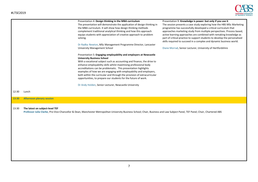

|       |                                  | Presentation 4: Design thinking in the MBA curriculum<br>The presentation will demonstrate the application of design thinking in<br>the MBA curriculum. It will show how design thinking methods<br>complement traditional analytical thinking and how this approach<br>equips students with appreciation of creative approach to problem<br>solving.<br>Dr Radka Newton, MSc Management Programme Director, Lancaster<br><b>University Management School</b><br>Presentation 5: Engaging employability and employers at Newcastle<br><b>University Business School</b><br>With a vocational subject such as accounting and finance, the drive to<br>enhance employability skills whilst maximising professional body<br>accreditations can be problematic. This presentation highlights<br>examples of how we are engaging with employability and employers,<br>both within the curricular and through the provision of extracurricular<br>opportunities, to prepare our students for the future of work.<br>Dr Andy Holden, Senior Lecturer, Newcastle University | Presentation 9: Knowledge is power: but only if you use it<br>The session presents a case study exploring how the HBS MSc Marketing<br>programme has successfully developed a critical curriculum that<br>approaches marketing study from multiple perspectives. Process based,<br>active learning approaches are combined with remaking knowledge as<br>part of critical practice to support students to develop the personalised<br>skills required to succeed in a complex and dynamic business world.<br>Diane Morrad, Senior Lecturer, University of Hertfordshire |
|-------|----------------------------------|---------------------------------------------------------------------------------------------------------------------------------------------------------------------------------------------------------------------------------------------------------------------------------------------------------------------------------------------------------------------------------------------------------------------------------------------------------------------------------------------------------------------------------------------------------------------------------------------------------------------------------------------------------------------------------------------------------------------------------------------------------------------------------------------------------------------------------------------------------------------------------------------------------------------------------------------------------------------------------------------------------------------------------------------------------------------|-------------------------------------------------------------------------------------------------------------------------------------------------------------------------------------------------------------------------------------------------------------------------------------------------------------------------------------------------------------------------------------------------------------------------------------------------------------------------------------------------------------------------------------------------------------------------|
| 12:30 | Lunch                            |                                                                                                                                                                                                                                                                                                                                                                                                                                                                                                                                                                                                                                                                                                                                                                                                                                                                                                                                                                                                                                                                     |                                                                                                                                                                                                                                                                                                                                                                                                                                                                                                                                                                         |
|       |                                  |                                                                                                                                                                                                                                                                                                                                                                                                                                                                                                                                                                                                                                                                                                                                                                                                                                                                                                                                                                                                                                                                     |                                                                                                                                                                                                                                                                                                                                                                                                                                                                                                                                                                         |
| 13:30 | <b>Afternoon plenary session</b> |                                                                                                                                                                                                                                                                                                                                                                                                                                                                                                                                                                                                                                                                                                                                                                                                                                                                                                                                                                                                                                                                     |                                                                                                                                                                                                                                                                                                                                                                                                                                                                                                                                                                         |
| 13:30 | The latest on subject-level TEF  | Professor Julia Clarke, Pro-Vice-Chancellor & Dean, Manchester Metropolitan University Business School; Chair, Business and Law Subject Panel, TEF Panel; Chair, Chartered ABS                                                                                                                                                                                                                                                                                                                                                                                                                                                                                                                                                                                                                                                                                                                                                                                                                                                                                      |                                                                                                                                                                                                                                                                                                                                                                                                                                                                                                                                                                         |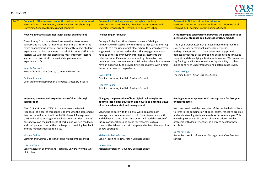

**14:20 Breakout i: Effective assessment & constructive feed-forward** Session Chair: Dr Keith Pond, Senior Lecturer, Loughborough University, School of Business and Economics

#### **How we innovate assessment with digital examinations**

Transitioning from paper-based examinations to on-screen delivery and marking has numerous benefits that reform the entire examinations lifecycle, and significantly impact student experience, and both academic and administrative staff. In this session, we will together discuss the most important lessons learned from Kozminski University's implementation experience so far.

#### Valeriia Gorlushko

Head of Examination Centre, Kozminski University

Dr Anja Sisarica User Experience Researcher & Product Strategist, Inspera

#### **Improving the feedback experience: Usefulness through verbalisation**

The 2018 NSS reports 73% of students are satisfied with feedback. The goal of this paper is to evaluate the assessment feedback practices at the School of Business & Enterprise at UWS and Stirling Management School. We consider students' perspectives on the usefulness of verbal and written feedback and staff perspectives on the challenges of providing feedback and the methods utilised to do so.

#### Kirstine Collins

Lecturer and Course Director, Stirling Management School

#### Lorraine Quinn

Senior Lecturer, Learning and Teaching, University of the West of Scotland

**Breakout ii: Enriching learning through technology** Session Chair: Karen Robins, Associate Dean Learning and Teaching, University of Hertfordshire Business School

#### **The fish finger sandwich**

During a Friday lunchtime discussion over a fish finger sandwich, we discussed how to introduce first year Marketing students to a realistic market place where they would actively engage with real-time market data. This engagement would need to be tested by industry informed assessments that reflect a student's market understanding. Markstrat is a simulation used predominantly at PG delivery level but here we have an opportunity to provide first year students with a 'first day on your new job' experience.

#### Jayne Revill

Principal Lecturer, Sheffield Business School

#### Jeanette Baker

Principal Lecturer, Sheffield Business School

#### **Changing the perception of how digital technologies are adopted into higher education and how to balance the views of both academic staff and management**

Staying up to date with the digital world requires both managers and academic staff to join forces to come up with and deliver a shared vision. Instructors will lead discussion of future considerations and areas for research, such as constructive take on market changes and universities adoption of new strategies.

#### Melania Milecka-Forrest

Senior Teaching Fellow, Aston Business School

#### Dr Xue Zhou

Assistant Professor , Coventry Business School

**Breakout iii: Outside of the box education** Session Chair: Professor Helen Williams, Associate Dean of Learning and Teaching, Cardiff Business School

#### **A multipronged approach to improving the performance of international students on a business strategy module**

This 5-year Action Research project aimed to improve the experience of international, particularly Chinese, undergraduates and to narrow performance gaps with domestic students by (a) embedding academic and language support, and (b) applying a business simulation. We present our key findings and invite discussion on applicability to other mixed cohorts at undergraduate and postgraduate levels.

#### Clive Kerridge

Teaching Fellow, Aston Business School

#### **Finding your management DNA: an approach for first year undergraduates**

We have developed the metaphor of the double helix of DNA to refer to the combination of deep insight, reflective practice, and understanding students' needs as future managers. This workshop combines discussion of how to address wicked problems with deep reflection, as a way to develop these attributes.

#### Dr Martin Rich

Senior Lecturer in Information Management, Cass Business School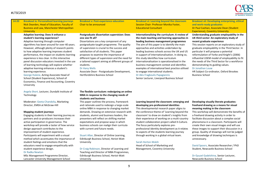#### #LTSF2019



**14:20 Breakout iv: Personalised learning journeys** Nick Dearden, Head of Education, Faculty of Business and Law, Manchester Metropolitan **University** 

#### **Adaptive learning: Does it enhance a student's learning experience?**

Adaptive learning through computer algorithms has been around for over 40 years. However, although plenty of research points to how adaptive learning improves student performance, the impact on students learning experience is less clear. In this interactive panel discussion educators invested in the use of learning technology will explore whether adaptive learning enhances a student's learning experience.

George Hulene, Acting Associate Head of School (Student Experience), School of Economics, Finance and Accounting, Coventry University

Angela Short, Lecturer, Dundalk Institute of Technology

Moderator: Geeta Chandolia, Marketing Director, EMEA at McGraw-Hill

#### **Mapping student journeys**

Engaging students in their learning journey as partners and co-producers increases their active participation in governance. The workshop will provide a taster of how service design approach contributes to the improvement of student experience. Participants will experiment with a visual method which accentuates the importance of student feelings and emotions that the educators need to engage empathically with student experience design.

#### Dr Radka Newton

MSc Management Programme Director, Lancaster University Management School

**Breakout v: Post-experience education** Chair to be announced

**Postgraduate dissertation supervision: Does** 

Dissertations are a key component of any postgraduate taught programme. The quality of supervision is crucial to the success and satisfaction of all students. This paper proposes to examine the importance of different types of supervision and the need for a tailored support aiming at different groups of

**one size fit all?**

students. Dr Hany Wells **Breakout vi: Learning beyond the classroom** Session Chair: Professor Monika Foster, Educational Consultant

#### **Internationalising the curriculum: A review of the main teaching and learning approaches in leading business management programmes** The aim of this paper is to identify the main approaches and activities undertaken by leading business schools across the UK and US in support of internationalisation. In doing so, this study identifies how curriculum internationalisation is operationalised in the business management context and identifies examples of international best practice utilised to engage international students.

Dr Akis Fragkoulis Papagiannis

Senior Lecturer, Liverpool Business School

#### **Breakout vii: Developing enterprising, ethical and work-ready graduates** Dr Paul Cashian, Associate Dean (Student Experience), Coventry University

#### **Understanding graduate employability in the UK third sector: An exploratory study of recent graduate experience**

This session reports on an exploratory study of graduate employability in the Third Sector. In particular it will propose a potential reformulation of Yorke and Knight's (2006) influential USEM model of employability to fit the needs of the Third Sector for a workforce demonstrating its guiding values.

#### Dr Jonathan Louw

HR Subject Co-ordinator, Oxford Brookes Business School

#### **The flexible curriculum: redesigning an online MBA in response to the changing needs of students and business**

Associate Dean - Postgraduate Development,

Hertfordshire Business School

This paper outlines the process, framework and rationale used to redesign a large-scale online MBA in response to changing market demands. Drawing on extensive research with students, alumni and business leaders, the presenters will reflect on shifting market expectations and propose ways in which business schools can realign their curricula with current and future needs.

Stuart Allan, Director of Online Learning, Edinburgh Business School, Heriot-Watt University

Dr Craig Robinson, Director of Learning and Teaching and Director of MBA Programmes, Edinburgh Business School, Heriot-Watt University

#### **Learning beyond the classroom: emerging and developing pre-professional identities**

This developmental research paper aligns to the conference theme of 'Learning beyond the classroom' to draw on student's insights from their experience of working on a multi-country student collaboration project called X-Culture. The focus particularly explores preprofessional identity development as it relates to aspects of the students learning journey through working in a global virtual team.

#### Sarah Horton-Walsh

Head of School of Marketing and Management, Coventry University

#### **Developing visually literate graduates: freehand drawing as a means for visual meaning making in the classroom**

This workshop will demonstrate the benefits of a freehand drawing activity in order to facilitate discussion about a complex social phenomena in a classroom. Participants will create their own visual images and will use these images to support their discussion in a group. Quality of drawings will not be judged and knowledge of drawing techniques is unnecessary.

David Spoors, Associate Researcher / PhD Student, Newcastle Business School

Dr Gyuzel Gadelshina, Senior Lecturer, Newcastle Business School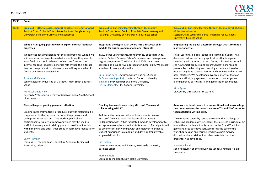

| 15:30 | <b>Break</b>                                                                                                                                                                                                                                                                                                                                                                                                                                                                                                                                                                    |                                                                                                                                                                                                                                                                                                                                                                                                                                                                                                     |                                                                                                                                                                                                                                                                                                                                                                                                                                                                                                                                                                                                                              |
|-------|---------------------------------------------------------------------------------------------------------------------------------------------------------------------------------------------------------------------------------------------------------------------------------------------------------------------------------------------------------------------------------------------------------------------------------------------------------------------------------------------------------------------------------------------------------------------------------|-----------------------------------------------------------------------------------------------------------------------------------------------------------------------------------------------------------------------------------------------------------------------------------------------------------------------------------------------------------------------------------------------------------------------------------------------------------------------------------------------------|------------------------------------------------------------------------------------------------------------------------------------------------------------------------------------------------------------------------------------------------------------------------------------------------------------------------------------------------------------------------------------------------------------------------------------------------------------------------------------------------------------------------------------------------------------------------------------------------------------------------------|
| 16:00 | <b>Breakout i: Effective assessment &amp; constructive feed-forward</b><br>Session Chair: Dr Keith Pond, Senior Lecturer, Loughborough<br><b>University, School of Business and Economics</b>                                                                                                                                                                                                                                                                                                                                                                                   | <b>Breakout ii: Enriching learning through technology</b><br>Session Chair: Karen Robins, Associate Dean Learning and<br><b>Teaching, University of Hertfordshire Business School</b>                                                                                                                                                                                                                                                                                                               | Breakout iii: Enriching learning through technology & Outside<br>of the box education<br>Session Chair: Louisa Hill, Senior Teaching Fellow, Leeds<br><b>University Business School</b>                                                                                                                                                                                                                                                                                                                                                                                                                                      |
|       | What IF? Designing peer review to exploit internal feedback<br>processes                                                                                                                                                                                                                                                                                                                                                                                                                                                                                                        | Integrating the digital iDEA award into a first year skills<br>module for business and management students                                                                                                                                                                                                                                                                                                                                                                                          | Empowering the digital classroom through smart content &<br>learning analytics                                                                                                                                                                                                                                                                                                                                                                                                                                                                                                                                               |
|       | What if feedback provision is not the real problem? What if we<br>shift our attention away from what students say they want to<br>what feedback should achieve? What if we focus on the<br>internal feedback students generate rather than the external<br>feedback we provide? In this session we will explore 'what if'<br>from a peer review perspective.<br><b>Suzanne McCallum</b><br>Senior Lecturer, University of Glasgow, Adam Smith Business<br>School<br><b>Professor David Nicol</b><br>Research Professor, University of Glasgow, Adam Smith School<br>of Business | In 2018 first-year students, from a variety of backgrounds,<br>entered Salford Business School's business and management<br>degree programme. The Duke of York iDEA award was<br>delivered as a supportive approach for digital skills. We present<br>a review of theory and practice.<br>Dr Suzanne Kane, Lecturer, Salford Business School<br>Dr Opeoluwa Aiyenitaju, Lecturer, Salford University<br>Iain Earle, PhD Researcher, Salford University<br>Jeffrey Clements, HPL, Salford University | Netex Learning, a global leader in e-learning solutions, has<br>developed educator-friendly applications that integrate<br>seamlessly with your ecosystem. During this session, we will<br>see how Smart products and Smart Content enhance and<br>personalise the learning and teaching experience based on<br>modern cognitive science theories and stunning and intuitive<br>user interfaces. We developed advanced analytics that can<br>measure effort, engagement, motivation, knowledge, and<br>learning behaviours using AI and gamification techniques.<br><b>Mike Byrne</b><br>UK Country Director, Netex Learning |
|       | The challenge of grading personal reflection<br>Grading is generally a tricky procedure, but with reflection it is                                                                                                                                                                                                                                                                                                                                                                                                                                                              | <b>Enabling teamwork work using Microsoft Teams and</b><br>collaborating with EY                                                                                                                                                                                                                                                                                                                                                                                                                    | An unconventional means to a conventional end: a workshop<br>that demonstrates the innovative use of 'Grand Theft Auto' to<br>teach academic writing skills.                                                                                                                                                                                                                                                                                                                                                                                                                                                                 |
|       | complicated by the personal nature of the process - and<br>perhaps for other reasons. This workshop will allow<br>participants to explore a framework which may be used to<br>scaffold the assignment briefing process, provide calibration<br>within marking and offer 'small steps' in formative feedback for<br>students.<br>Dawn Harrison                                                                                                                                                                                                                                   | An interactive demonstration of how students can use<br>Microsoft Teams to work and learn collaboratively.<br>Collaboration with EY has facilitated module development to<br>incorporate workplace practices to teamwork. Participants will<br>be able to consider working with an employer to enhance<br>student experience in a module and develop transferrable<br>employability skills.                                                                                                         | The workshop opens by setting the scene: the challenge of<br>enhancing academic writing skills in the business curriculum. An<br>interactive experience that is based on the Grand Theft Auto<br>game and uses Socrative software forms the core of the<br>workshop session and this will lead into a post activity<br>discussion plus a brief look at other materials that the<br>presenter has developed.                                                                                                                                                                                                                  |
|       | Learning & Teaching Lead, Lancashire School of Business &<br>Enterprise, Uclan                                                                                                                                                                                                                                                                                                                                                                                                                                                                                                  | <b>Gill Holden</b><br>Lecturer Accounting and Finance, Newcastle University<br><b>Business School</b>                                                                                                                                                                                                                                                                                                                                                                                               | <b>Stewart Hilland</b><br>Senior Lecturer, Sheffield Business School, Sheffield Hallam<br>University                                                                                                                                                                                                                                                                                                                                                                                                                                                                                                                         |
|       |                                                                                                                                                                                                                                                                                                                                                                                                                                                                                                                                                                                 | <b>Marc Bennett</b><br>Learning Technologist, Newcastle University                                                                                                                                                                                                                                                                                                                                                                                                                                  |                                                                                                                                                                                                                                                                                                                                                                                                                                                                                                                                                                                                                              |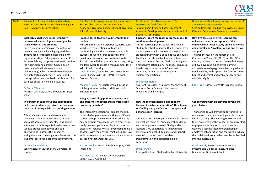

| 16:00 | <b>Breakout iv: Research informed teaching</b><br>Session Chair: Professor Heather McLaughlin,<br><b>Dean, Coventry Business School</b>                                                                                                                                                                                                                                                                                                                                                                                                                                                                                    | <b>Breakout v: Learning beyond the classroom</b><br>Session Chair: Dr Adam Shore, Director<br>Academic, Liverpool Business School, Liverpool<br><b>John Moores University</b>                                                                                                                                                                                                                                                                                                                                                         | <b>Breakout vi: Effective assessment &amp;</b><br>constructive feed-forward<br>Session Chair: Pradeep Passi, Director of<br>Academic Development, Lancashire School of<br><b>Business &amp; Enterprise</b>                                                                                                                                                                                                                                                                                                                                                 | <b>Breakout vii: Developing enterprising, ethical</b><br>and work-ready graduates<br>Session Chair: Dr Paul Cashian, Associate Dean<br>(Student Experience), Coventry University                                                                                                                                                                                                                                                                                                                                                                             |
|-------|----------------------------------------------------------------------------------------------------------------------------------------------------------------------------------------------------------------------------------------------------------------------------------------------------------------------------------------------------------------------------------------------------------------------------------------------------------------------------------------------------------------------------------------------------------------------------------------------------------------------------|---------------------------------------------------------------------------------------------------------------------------------------------------------------------------------------------------------------------------------------------------------------------------------------------------------------------------------------------------------------------------------------------------------------------------------------------------------------------------------------------------------------------------------------|------------------------------------------------------------------------------------------------------------------------------------------------------------------------------------------------------------------------------------------------------------------------------------------------------------------------------------------------------------------------------------------------------------------------------------------------------------------------------------------------------------------------------------------------------------|--------------------------------------------------------------------------------------------------------------------------------------------------------------------------------------------------------------------------------------------------------------------------------------------------------------------------------------------------------------------------------------------------------------------------------------------------------------------------------------------------------------------------------------------------------------|
|       | Intellectual challenge in contemporary<br>business education: A phenomenographic<br>study with staff and students<br>Recent policy discussions on the nature of<br>teaching excellence have highlighted the<br>importance of intellectual challenge in UK<br>higher education. Taking as our case a UK<br>Business School, this presentation will outline<br>the findings from a project funded by BA<br>Leverhulme in which we employ a<br>phenomenographic approach to understand<br>how intellectual challenge is understood,<br>conceptualised and realised. Implications for<br>business education will be discussed. | Practice based teaching: A different type of<br>module<br>Mirroring the student experience, participants<br>will discuss co-creation as a teaching<br>methodology and the framework to enable<br>students to work interdependently and<br>develop professional practice based skills.<br>Participants will then produce an activity, using<br>the framework to create a measurement for a<br>skill of their choosing.<br>David Soehren, Senior Lecturer, Programme<br>Leader Business & HRM, LJMU Liverpool<br><b>Business School</b> | Circular student feedback-response model for<br>continuous development<br>This research paper introduces the circular<br>student feedback-response (CSFR) model as an<br>innovative model for improving the use of<br>student surveys with a special focus on course<br>feedback that should facilitate an interactive<br>mechanism for collecting feedback along with<br>a responsive action plan. The model ensures a<br>timely response to students' feedback<br>comments as well as evaluating the<br>implemented actions.<br><b>Dr Shereen Nassar</b> | How live case experiential learning can<br>enhance student's perceptions of their<br>employability skills: A study on 'being honest<br>and ethical' and 'problem solving and critical<br>analysis'<br>This paper focus on the report by CMI,<br>Chartered ABS and ISE (2018) entitled '21st<br>Century Leaders' to present research findings<br>of how a live case experiential learning<br>approach to pedagogy can enhance graduate<br>employability, with a particular focus on being<br>honest and ethical and problem solving and<br>critical analysis. |
|       | Dr Berry O'Donovan<br>Principal Lecturer, Oxford Brookes Business<br>School                                                                                                                                                                                                                                                                                                                                                                                                                                                                                                                                                | Maureen Royce, Associate Dean, Education,<br>HR Programmes Leader, LJMU Liverpool<br><b>Business School</b><br>Bridging the skills gap: How can educators                                                                                                                                                                                                                                                                                                                                                                             | Assistant Professor in Business Management,<br>School of Social Sciences, Heriot-Watt<br><b>University Dubai Campus</b>                                                                                                                                                                                                                                                                                                                                                                                                                                    | Katie Gray, Tutor, Newcastle Business School                                                                                                                                                                                                                                                                                                                                                                                                                                                                                                                 |
|       | The impact of exogenous and endogenous<br>factors on students' perceived performance:<br>the case of non-specialist accounting courses                                                                                                                                                                                                                                                                                                                                                                                                                                                                                     | and publishers together create work-ready<br>business graduates?<br>This interactive session will explore the skills-                                                                                                                                                                                                                                                                                                                                                                                                                 | How independent should independent<br>learners be in higher education? How to use<br>scaffolding and gamification to support and<br>enhance open learning?                                                                                                                                                                                                                                                                                                                                                                                                 | <b>Collaborating with employers: Beyond the</b><br>guest lecture<br>This workshop will provide opportunities to                                                                                                                                                                                                                                                                                                                                                                                                                                              |
|       | This study evaluates the determinants of<br>perceived academic performance of non-<br>specialist accounting students. Considering<br>actual and initially expected performance, we<br>use two statistical methods and 232<br>observations to assess the impact of<br>endogenous and the exogenous factors on the<br>students' perceived academic achievement.                                                                                                                                                                                                                                                              | based challenges you face with your different<br>student groups and consider how educators<br>and publishers can collaborate to create work-<br>ready business graduates. Key questions for<br>discussion include: What are you doing to help<br>students with their critical thinking skills? How<br>will you create a data literacy and data science<br>curriculum that works for you?                                                                                                                                              | This workshop will trigger and drive discussion<br>on what we mean by, our expectations from,<br>and our approach towards, "independent<br>learners". My experience has shown that<br>extensive and explicit guidance and support<br>are vital to the success of student<br>transformation and educational gain<br>generation.                                                                                                                                                                                                                             | understand the role of employer collaboration<br>within teaching. The learning outcomes will<br>focus on increasing the impact of employer led<br>engagement with a focus on how we can<br>develop a sophisticated understanding of<br>employer collaboration and the ways in which<br>this collaboration can effectively be embedded<br>into the curriculum.                                                                                                                                                                                                |
|       | Dr Nicholas Tsitsianis<br>Senior Lecturer, Queen Mary University of<br>London                                                                                                                                                                                                                                                                                                                                                                                                                                                                                                                                              | Rachel Crookes, Head of SAGE Campus, SAGE<br>Publishing<br>Matthew Waters, Senior Commissioning<br>Editor, SAGE Publishing                                                                                                                                                                                                                                                                                                                                                                                                            | Dr Dora Chan<br>Principal Lecturer, Sheffield Hallam University                                                                                                                                                                                                                                                                                                                                                                                                                                                                                            | Dr Ali Owrak, Senior Lecturer in Service<br>Systems and Digital Business, Alliance<br>Manchester Business School                                                                                                                                                                                                                                                                                                                                                                                                                                             |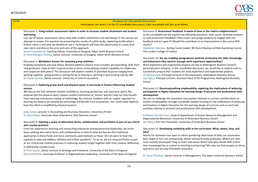

#### **16:00 Breakout viii: Roundtable Discussions**

Participants can select 1 of the 15 roundtable discussions. Each roundtable will last up to 60min

Discussion 1: **Using holistic assessment rubrics in order to increase student attainment and student well-being** 

Can use of holistic assessment rubrics help with student attainment and well-being? In this session we attempt to answer this question by presenting the results of a pilot study, explaining briefly what a holistic rubric is and why we decided to use it. Participants will have the opportunity to create their own rubric and discuss the pros and cons of this approach.

Sarah Honeychurch, Teaching Fellow, University of Glasgow, Adam Smith Business School Dr Anna Morgan-Thomas, Senior Lecturer, University of Glasgow, Adam Smith Business School

#### Discussion 2: **Workplace lessons for assessing group activities**

Evolving workplaces and new labour demand patterns require more complex 'groupworking' skills from new graduates. How do HEIs respond to this in terms of developing student capability to collaborate and cooperate with peers? This discussion will explore models of potential response ranging from working together, acting jointly or joining forces to sharing in, pitching in and working side by side. Dr Cheryl Gordon, Senior Lecturer, University of Central Lancashire

#### Discussion 3: **Exploring group-work and physical space: a case study in factors influencing student success**

We discuss the links between student confidence, learning perspective and classroom space. We propose that the physical space impacts student interaction as 'novice' learners may not fully benefit from teaching innovations relying on technology. By contrast, students with an 'expert' approach to learning are likely to be unfazed by technology and benefit from innovations. Our round table explores how this effect is amplified by physical location.

Judy Cohen, Lecturer in Accounting and Business Education, University of Kent Dr Alison Dean, Associate Dean (Education), Kent Business School

#### Discussion 4: **Opening a space of alternative forms, collaborations and portfolios as part of our critical and creative practices**

From our experiences teaching and researching enterprise-entrepreneurship-leadership, we invite those seeking alternative forms and collaborations to disturb what we feel are the traditional approaches in these fields and more commonly used methods as these "do not seem to have the capacity to raise and address reflexive and critical questions". To do so, we are using portfolios as part of our critical and creative practices in capturing student insight together with their creative skillfulness in addressing societal issues.

Dr Pam Seanor, Senior Lecturer in Strategy and Enterprise, University of the West of England Doris Schedlitzki, Associate Professor in Organisational Leadership, University of the West of England Discussion 9: **Assessment feedback: A waste of time or the road to enlightenment?**

In this roundtable we will explore the following questions: How could I motivate students to read assessment feedback? How could I encourage students to engage with this feedback and act upon it? Would this contribute to an improvement in the course NSS results?

Stephanie Liberman, Acting Course Leader, BA (hons) Buying and Merchandising Course, The London College of Fashion

#### Discussion 10: **Are we enabling postgraduate students to develop the skills, knowledge and behaviours they need to manage work experience opportunities?**

Work experience and experiential projects are key to Nottingham Business School's personalisation initiative. In this roundtable discussion, we would like to explore how to successfully prepare PGT students for work experience and experiential projects. Dr Shelley Clark, Principal Lecturer in Personalisation, Nottingham Business School Liza Pybus, Principal Lecturer, Assistant Head of PG Programmes, Nottingham Business School

#### Discussion 11: **Reconceptualising employability: exploring the implications of widening participation in Higher Education for learning design of personal and professional skills development**

We aim to challenge the normative assumptions inherent in current considerations of student employability through roundtable debate focusing on the implications of widening participation in Higher Education for the learning design of curricula and co-curricular activities relating to personal and professional skills development.

Professor Zoe Morrison, Head of Department of Human Resource Management and Organisational Behaviour, University of Greenwich Business School Jon Sibson, Pro Vice Chancellor, University of Greenwich Business School

#### Discussion 12: **Developing marketing skills in the curriculum: What, where, how, and why?**

Mainly for marketers but open to others pondering what kinds of skills can universities best target to turn out enterprising, ethical and work-ready graduates. Where are skills most usefully developed? How to teach and assess them? And why should skills (rather than knowledge) be so central to teaching and learning? We may not find answers to these questions, but we may find better questions.

Dr Terry O'Sullivan, Senior Lecturer in Management, The Open University Business School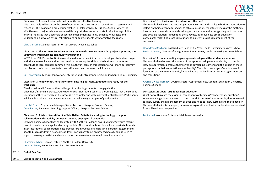

#### Discussion 5: **Assessed e-journals and benefits for reflective learning**

This roundtable will focus on the use of e-journals and their potential benefit for assessment and reflection. It is based on a project undertaken in Ulster University Business School, where the effectiveness of e-journals was examined through student survey and staff reflective logs. Initial analysis indicates that e-journals encourage independent learning, enhance knowledge and understanding, develop critical reflection and support students with formative feedback.

Clare Carruthers, Senior lecturer, Ulster University Business School

#### Discussion 6: **The Business Solution Centre is on a road-show: A student led project supporting the Southwark small business community and beyond**

In 2016 the LSBU School of Business embarked upon a new initiative to develop a student-led project with the aim to enhance and further develop the enterprise skills of the business students and to contribute to local business community in Southwark area. In this session we will share our journey thus far and brainstorm how to further refinement and improve the initiative.

Dr Heba Younis, Lecturer Innovation, Enterprise and Entrepreneurship, London South Bank University

#### Discussion 7: **Ready or not, here they come: Ensuring our Gen Z graduates are ready for the workplace**

The discussion will focus on the challenge of motivating students to engage in the placement/internship process. Our experience at Liverpool Business School suggests that the student's decision whether to engage in the process is a complex one with many influential factors. Participants will be able to share their own experiences and take away examples of good practice.

Lucy McGrath, Programme Manager/Senior Lecturer, Liverpool Business School, Anne Pettitt, Placement Learning Support Officer, Liverpool Business School

#### Discussion 8: **A tale of two cities: Sheffield Hallam & Bath Spa - using technology to support collaboration and creativity between students, employers & academics**

Bath Spa Business School has collaborated with Sheffield Hallam's award-winning 'Venture Matrix' team to develop a new applied-learning module. This round-table session will demonstrate how via inter-institutional collaboration, best practices from two leading HEIs can be brought together and adapted successfully in a new context. It will particularly focus on how technology can be used to support learning, creativity and collaboration between students, employers & academics.

Charmaine Myers, Senior Lecturer, Sheffield Hallam University Deborah Bowe, Senior Lecturer, Bath Business School

17:10 **End of Day One**

#### 19:10 **Drinks Reception and Gala Dinner**

#### Discussion 13: **Is business ethics education effective?**

This roundtable invites and encourages administrators and faculty in business education to reflect on their current approaches to ethics education, the effectiveness of the methods involved and the environmental challenges they face as well as suggesting best practices and possible solution. In debating these key issues of business ethics education participants might find practical solutions to bolster this critical component of the curriculum.

Dr Andreea Bordianu, Postgraduate Head of the Year, Leeds University Business School Jessica Johnson, Director of Postgraduate Programmes, Leeds University Business School

#### Discussion 14: **Understanding degree apprenticeship and the student experience**

This roundtable discusses the nature of the apprenticeship student identity to consider: How do apprentices perceive themselves as developing learners and the impact of these perceptions on their expectations at university? The role of employers/ employment in formation of their learner identity? And what are the implications for managing induction and transition?

Ayesha Owusu-Barnaby, Course Director Apprenticeships, London South Bank University Business School

#### Discussion 15: **Liberal arts & business education**

What do we think are the essential components of business/management education? What knowledge does one need to have to work in business? For example, does one need to know supply chain management or does one need to know systems and relationships? This roundtable invites an open, tabula rasa exploration of business education reconceived from a liberal arts perspective.

Jas Ahmad, Associate Professor, Middlesex University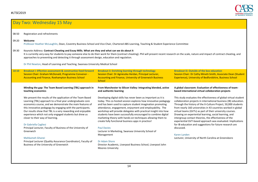

| 08:50 | Registration and refreshments                                                                                                                                                                                                                                                                                                                                                                                                                                                                                                                                                                                                                                   |                                                                                                                                                                                                                                                                                                                                                                                                                                                                                                                                                                                                                                                                                                                            |                                                                                                                                                                                                                                                                                                                                                                                                                                                                                                                                                                                                                                                                         |
|-------|-----------------------------------------------------------------------------------------------------------------------------------------------------------------------------------------------------------------------------------------------------------------------------------------------------------------------------------------------------------------------------------------------------------------------------------------------------------------------------------------------------------------------------------------------------------------------------------------------------------------------------------------------------------------|----------------------------------------------------------------------------------------------------------------------------------------------------------------------------------------------------------------------------------------------------------------------------------------------------------------------------------------------------------------------------------------------------------------------------------------------------------------------------------------------------------------------------------------------------------------------------------------------------------------------------------------------------------------------------------------------------------------------------|-------------------------------------------------------------------------------------------------------------------------------------------------------------------------------------------------------------------------------------------------------------------------------------------------------------------------------------------------------------------------------------------------------------------------------------------------------------------------------------------------------------------------------------------------------------------------------------------------------------------------------------------------------------------------|
| 09:20 | Welcome                                                                                                                                                                                                                                                                                                                                                                                                                                                                                                                                                                                                                                                         | Professor Heather McLaughlin, Dean, Coventry Business School and Vice Chair, Chartered ABS Learning, Teaching & Student Experience Committee                                                                                                                                                                                                                                                                                                                                                                                                                                                                                                                                                                               |                                                                                                                                                                                                                                                                                                                                                                                                                                                                                                                                                                                                                                                                         |
| 09:30 | Keynote Address: Contract Cheating and Essay Mills. What are they and what can we do about it<br>approaches to preventing and detecting it through assessment design, education and regulation.                                                                                                                                                                                                                                                                                                                                                                                                                                                                 | It is currently very easy for students to pay someone else to do their work for them (contract cheating). Phil will present recent research on the scale, nature and impact of contract cheating, and                                                                                                                                                                                                                                                                                                                                                                                                                                                                                                                      |                                                                                                                                                                                                                                                                                                                                                                                                                                                                                                                                                                                                                                                                         |
|       | Dr Phil Newton, Head of Learning and Teaching, Swansea University Medical School                                                                                                                                                                                                                                                                                                                                                                                                                                                                                                                                                                                |                                                                                                                                                                                                                                                                                                                                                                                                                                                                                                                                                                                                                                                                                                                            |                                                                                                                                                                                                                                                                                                                                                                                                                                                                                                                                                                                                                                                                         |
| 10:10 | Breakout i: Effective assessment & constructive feed-forward<br>Session Chair: Graham McDonald, Programme Convenor -<br>Accounting and Finance, Roehampton Business School                                                                                                                                                                                                                                                                                                                                                                                                                                                                                      | <b>Breakout ii: Enriching learning through technology</b><br>Session Chair: Dr Agnieszka Herdan, Principal Lecturer,<br>Accounting and Finance, University of Greenwich Business<br><b>School</b>                                                                                                                                                                                                                                                                                                                                                                                                                                                                                                                          | <b>Breakout iii: Outside of the box education</b><br>Session Chair: Dr Cathy Minett-Smith, Associate Dean (Student<br>Experience), University of Bedfordshire, Business School                                                                                                                                                                                                                                                                                                                                                                                                                                                                                          |
|       | Minding the gap: The Team Based Learning (TBL) approach in<br>teaching economics                                                                                                                                                                                                                                                                                                                                                                                                                                                                                                                                                                                | From Manchester to Silicon Valley: Integrating blended, active<br>and authentic learning                                                                                                                                                                                                                                                                                                                                                                                                                                                                                                                                                                                                                                   | A global classroom: Evaluation of effectiveness of team-<br>based international virtual collaboration projects                                                                                                                                                                                                                                                                                                                                                                                                                                                                                                                                                          |
|       | We present the results of the application of the Team Based<br>Learning (TBL) approach to a final year undergraduate core<br>economics course, and we demonstrate the main features of<br>this innovative pedagogy by engaging with the participants.<br>Our results show that TBL is a very rewarding and enjoyable<br>experience which not only engaged students but drew us<br>closer to their way of learning.<br>Dr Gabriella Cagliesi<br>Principal Lecturer, Faculty of Business of the University of<br>Greenwich<br><b>Mahkameh Ghanei</b><br>Principal Lecturer (Quality Assurance Coordinator), Faculty of<br>Business of the University of Greenwich | Developing digital skills has never been as important as it is<br>today. This co-hosted session explores how innovative pedagogy<br>and has been used to capture student imagination promoting<br>attendance, engagement, enjoyment and employability. The<br>workshop will provide delegates with practical insight into how<br>students have been successfully encouraged to combine digital<br>marketing theory with hands-on techniques allowing them to<br>create fully functional business apps in practice!<br><b>Paul Davies</b><br>Lecturer in Marketing, Swansea University School of<br>Management<br>Dr Adam Shore<br>Director Academic, Liverpool Business School, Liverpool John<br><b>Moores University</b> | This study evaluates the effectiveness of global virtual student<br>collaboration projects in international business (IB) education.<br>Through the history of the X-Culture Project, 50,000 students<br>from nearly 160 universities in 43 countries worked in global<br>virtual teams (GVTs) as part of their university courses.<br>Drawing on experiential learning, social learning, and<br>intergroup contact theories, the effectiveness of the<br>experiential GVT-based approach was evaluated. Implications<br>for IB education and suggestions for future research are<br>discussed.<br>Karen Lynden<br>Lecturer, University of North Carolina at Greensboro |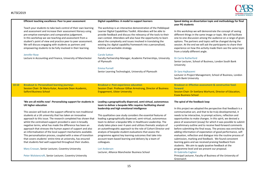

|       | Efficient teaching excellence: Peer to peer assessment                                                                                                                                                                                                                                                                                                                                                                                                                                                                                                                                                                                                                                                                                                                                                           | Digital capabilities: A model to support learners                                                                                                                                                                                                                                                                                                                                                                                                                                                                                                                                                                                                                                                                              | Speed dating on dissertation topic and methodology for final<br>year PG students                                                                                                                                                                                                                                                                                                                                                                                                                                                                                                                                                                                                                                                                                                                                                                         |
|-------|------------------------------------------------------------------------------------------------------------------------------------------------------------------------------------------------------------------------------------------------------------------------------------------------------------------------------------------------------------------------------------------------------------------------------------------------------------------------------------------------------------------------------------------------------------------------------------------------------------------------------------------------------------------------------------------------------------------------------------------------------------------------------------------------------------------|--------------------------------------------------------------------------------------------------------------------------------------------------------------------------------------------------------------------------------------------------------------------------------------------------------------------------------------------------------------------------------------------------------------------------------------------------------------------------------------------------------------------------------------------------------------------------------------------------------------------------------------------------------------------------------------------------------------------------------|----------------------------------------------------------------------------------------------------------------------------------------------------------------------------------------------------------------------------------------------------------------------------------------------------------------------------------------------------------------------------------------------------------------------------------------------------------------------------------------------------------------------------------------------------------------------------------------------------------------------------------------------------------------------------------------------------------------------------------------------------------------------------------------------------------------------------------------------------------|
|       | Teach your students to take back control of their own learning<br>and assessment and increase their assessment literacy using<br>pre-emptive exemplars and comparative judgement.<br>In this workshop we see teaching and assessment from a<br>student's point of view and practice peer to peer assessment.<br>We will discuss engaging with students as partners and<br>empowering students to be fully involved in their learning.<br>Jennifer Rose                                                                                                                                                                                                                                                                                                                                                           | The workshop is an interactive demonstration of the Pebblepad<br>Learner Digital Capabilities Toolkit. Attendees will be able to<br>provide feedback and discuss the relevancy of the tools to their<br>own context. Attendees will also have the opportunity to learn<br>about the complexity and issues involved in translating the<br>existing Jisc digital capability framework into a personalised,<br>holistic and workable strategy.<br><b>Carole Sutton</b>                                                                                                                                                                                                                                                            | In this workshop we will demonstrate the concept of seeing<br>different things in the same image or topic. We will facilitate<br>one-to-one discussion among the audience on a range of given<br>options. The partners and topics will be changed during the<br>session. At the end we will ask the participants to share their<br>experience on how this activity made them see the same topic<br>from a totally different angle.                                                                                                                                                                                                                                                                                                                                                                                                                       |
|       | Lecture in Accounting and Finance, University of Manchester                                                                                                                                                                                                                                                                                                                                                                                                                                                                                                                                                                                                                                                                                                                                                      | Faculty Partnership Manager, Academic Partnerships, University<br>of Plymouth<br><b>Emma Purnell</b>                                                                                                                                                                                                                                                                                                                                                                                                                                                                                                                                                                                                                           | Dr Carrie Rutherford<br>Senior Lecturer, School of Business, London South Bank<br>University                                                                                                                                                                                                                                                                                                                                                                                                                                                                                                                                                                                                                                                                                                                                                             |
|       |                                                                                                                                                                                                                                                                                                                                                                                                                                                                                                                                                                                                                                                                                                                                                                                                                  | Senior Learning Technologist, University of Plymouth                                                                                                                                                                                                                                                                                                                                                                                                                                                                                                                                                                                                                                                                           | Dr Sara Hajikazemi<br>Lecturer in Project Management, School of Business, London<br>South Bank University                                                                                                                                                                                                                                                                                                                                                                                                                                                                                                                                                                                                                                                                                                                                                |
| 10:10 | <b>Breakout iv: Personalised learning journeys</b><br>Session Chair: Dr Maria Kutar, Associate Dean Academic,<br><b>Salford Business School</b>                                                                                                                                                                                                                                                                                                                                                                                                                                                                                                                                                                                                                                                                  | <b>Breakout v: Post-experience education</b><br>Session Chair: Professor Gillian Armstrong, Director of Business<br><b>Engagement, Ulster University</b>                                                                                                                                                                                                                                                                                                                                                                                                                                                                                                                                                                       | <b>Breakout vi: Effective assessment &amp; constructive feed-</b><br>forward<br>Session Chair: Dr Svetlana Warhurst, Director of Education,<br><b>Essex Business School</b>                                                                                                                                                                                                                                                                                                                                                                                                                                                                                                                                                                                                                                                                              |
|       | 'We are all misfits now': Personalising support for students in<br><b>UK higher education</b><br>This session will look at the support offered to non-traditional<br>students at a UK university that has taken an innovative<br>approach to this issue. The research completed has shown that<br>whilst the centralised support provided is seen in broadly<br>negative terms, what has made the difference has been an<br>approach that stresses the human aspect of support and also<br>an informalisation of the local support mechanisms available.<br>This personalisation process, coupled with a view of transition<br>that covers students' entire time at university, has ensured<br>that students feel well supported throughout their studies.<br>Mary Crossan, Senior Lecturer, Coventry University | Leading a geographically dispersed, semi-virtual, autonomous<br>team to deliver a bespoke MSc requires facilitating shared<br>leadership and high emotional intelligence<br>This qualitative case study considers the essential features of<br>leading a geographically dispersed, semi-virtual, autonomous<br>team to deliver a bespoke MSc in Healthcare Leadership. The<br>study takes place over 4 years and utilizes thematic analysis of<br>an autoethnograhic approach to the role of Cohort Director and<br>analysis of bespoke student evaluations that assess the<br>programme against key learning outcomes that take into<br>account team-based learning and delivery by a team of<br>colleagues.<br>Lori Anderson | The spiral of the feedback loop<br>In this project we adopted the perspective that feedback is a<br>communicative act, and that to be truly developmental, it<br>needs to be interactive, to prompt actions, reflection and<br>opportunities to make changes. In this spirit, we devised a<br>piece of assessment (essay) for which it was possible to submit<br>a preliminary outline and to receive feed-forward comments<br>before submitting the final essay. The process was enriched by<br>adding information of expectation of good performance, self-<br>evaluation, reflection and dialogue into the routine process of<br>submission, marking and feedback. We found consistent<br>learning gains and we received praising feedback from<br>students. We aim to apply ipsative feedback at the<br>programme level and we present our proposal. |
|       | Peter Wolstencroft, Senior Lecturer, Coventry University                                                                                                                                                                                                                                                                                                                                                                                                                                                                                                                                                                                                                                                                                                                                                         | Lecturer, Alliance Manchester Business School                                                                                                                                                                                                                                                                                                                                                                                                                                                                                                                                                                                                                                                                                  | Dr Gabriella Cagliesi<br>Principal Lecturer, Faculty of Business of the University of<br>Greenwich                                                                                                                                                                                                                                                                                                                                                                                                                                                                                                                                                                                                                                                                                                                                                       |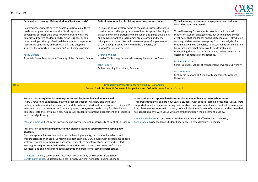

#### **Personalised learning: Making students 'business ready'**

Postgraduate students need to develop skills to make them ready for employment. A 'one size fits all' approach to developing business skills does not work, but how can we tailor it to different student needs? Aston Business School have developed their professional development programme to focus more specifically on business skills, and on giving students the opportunity to work on 'live' business projects.

#### Kathy Daniels

Associate Dean: Learning and Teaching, Aston Business School

#### **Critical success factors for taking your programmes online**

In this session we explore some of the critical success factors to consider when taking programmes online. Key principles of good practice and considerations to make when designing, developing and delivering online programmes are discussed and 5 key principles are shared. We will share examples of implementation of these key principles from within the University of Sussex/Pearson partnership.

#### Dr David Walker

Head of Technology Enhanced Learning, University of Sussex

John Roberts Online Learning Consultant, Pearson

#### **Virtual learning environment engagement and outcomes: What data can truly reveal**

Virtual Learning Environments provide us with a wealth of metrics on student engagements, but with big data comes great noise that challenges analytical techniques. Introducing topological data analysis we spring from the analysis of a module at Swansea University to discuss what can be learned from such data, what more would be desirable and, maintaining the root in our experience, review how course design can benefit as a consequence.

#### Dr Simon Rudkin

Senior Lecturer, School of Management, Swansea University

#### Dr Lucy Minford

Lecturer in Economics, School of Management, Swansea University

**10:10 Breakout vii: Presentations: Powered by PechaKucha** Session Chair: Dr Berry O'Donovan, Principal Lecturer, Oxford Brookes Business School

Presentation 1: **Experiential learning: Better results, more fun and more valued** "A truly rewarding experience…beyond great satisfaction" was how one third year undergraduate described a redesigned module on how to start and run a business. Using a £50 investment each team set up and ran two pop-up shops/events, so learning first-hand what it takes to create their own business. As a result, student attainment, engagement and feedback improved significantly.

Marcus Simmons, Lecturer in Enterprise and Entrepreneurship, University of Central Lancashire

#### Presentation 2: **Reimagining induction: A blended-learning approach to welcoming new students**

Our new approach to student induction delivers high-quality, personalised academic and welfare orientation at scale. Combining a short online (MOOC) course with programme-specific welcome events on campus, we encourage students to develop collaborative and self-led learning techniques from their earliest interactions with us and their peers. We'll share successes and challenges from both academic and professional services perspectives.

Dr Alison Truelove, Lecturer in Critical Practice, University of Exeter Business School Gareth Carey Jones, Education Business Partner, University of Exeter Business School Presentation 5: **An approach to inclusive placement within a business school context** This presentation will explore how Level 5 students with specific learning difficulties (SpLDs) were supported to achieve success during their sandwich year placement search and subsequent yearlong placement experience in industry. We will also identify a set of minimum standards needed to support students with SpLDs who are embarking upon the placement journey.

Michelle Blackburn, Associate Head Student Experience, Sheffield Hallam University Susan Jones, Associate Head Student Experience, Sheffield Hallam University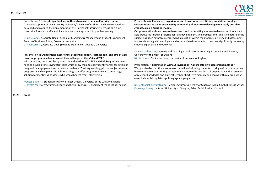

Presentation 3: **Using design thinking methods to revise a personal tutoring system** A whistle-stop tour of how Coventry University's Faculty of Business and Law reviewed, redesigned and planned the implementation of its personal tutoring system, using a timeconstrained, resource efficient, inclusive fast-track approach to problem solving.

Dr Clare Jones, Associate Head - School of Marketing & Management (Student Experience) Faculty of Business & Law, Coventry University

Dr Paul Cashian, Associate Dean (Student Experience), Coventry University

#### Presentation 4: **Engagement, experience, academic support, learning gain, and acts of God: How can programme leaders meet the challenges of the NSS and TEF?**

With increasing measures being available and used for NSS, TEF and GOS Programme teams need to develop time-saving strategies which allow them to easily identify areas for action on progression, engagement and student experience. Tracking learning gain, via subject stream progression and simple traffic light reporting, can offer programme teams a quick triage solution for identifying students who would benefit from intervention.

Frances Bathurst, Student Inclusivity Project Officer, University of the West of England Dr Yvette Morey, Programme Leader and Senior Lecturer, University of the West of England

**11:20 Break** 

Presentation 6: **Connected, experiential and transformative: Utilising simulation, employer collaboration and an inter-university community of practice to develop work ready and able graduates in an Auditing module**

Our presentation shows how we have structured our Auditing module to develop work ready and able graduates through professional skills development. The practical and subjective nature of the subject has been embraced, embedding simulation within the module's delivery and assessment, and collaborating with employers and other universities to inform practice, significantly improving student experience and outcomes.

Dr Susan Whittaker, Learning and Teaching Coordinator Accounting, Economics and Finance, University of the West of England Nicola Horner, Senior Lecturer, University of the West of England

Presentation 7: **Examination without invigilation: A more effective assessment method?** We hypothesise that there are several benefits of allowing students to bring written materials and have some discussions during assessment – a more effective form of preparation and assessment of relevant knowledge and skills rather than short term memory and coping with pin-drop silent exam halls with invigilators policing against plagiarism.

Dr Geethanjali Selvaretnamo, Senior Lecturer, University of Glasgow, Adam Smith Business School Dr Wenya Cheng, Lecturer, University of Glasgow, Adam Smith Business School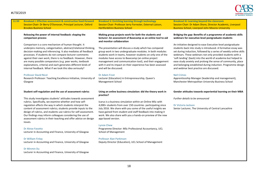

| Breakout i: Effective assessment & constructive feed-forward<br>Session Chair: Dr Berry O'Donovan, Principal Lecturer, Oxford<br><b>Brookes Business School</b>                                                                                                                                                                                                                                                                                                                                             | <b>Breakout ii: Enriching learning through technology</b><br>Session Chair: Professor Jerry Forrester, External Liaison,<br><b>Hertfordshire Business School</b>                                                                                                                                                                                                                                | <b>Breakout iii: Learning beyond the classroom</b><br>Session Chair: Dr Adam Shore, Director Academic, Liverpool<br><b>Business School, Liverpool John Moores University</b>                                                                                                                                                                                                                                                                                                                                   |
|-------------------------------------------------------------------------------------------------------------------------------------------------------------------------------------------------------------------------------------------------------------------------------------------------------------------------------------------------------------------------------------------------------------------------------------------------------------------------------------------------------------|-------------------------------------------------------------------------------------------------------------------------------------------------------------------------------------------------------------------------------------------------------------------------------------------------------------------------------------------------------------------------------------------------|----------------------------------------------------------------------------------------------------------------------------------------------------------------------------------------------------------------------------------------------------------------------------------------------------------------------------------------------------------------------------------------------------------------------------------------------------------------------------------------------------------------|
| Releasing the power of internal feedback: shaping the<br>comparison process                                                                                                                                                                                                                                                                                                                                                                                                                                 | Making group projects work for both the students and<br>lecturer: An assessment of Basecamp as an online tool to aid<br>and monitor collaboration                                                                                                                                                                                                                                               | Bridging the gap: Benefits of a programme of academic skills<br>webinars for executive-level postgraduate students                                                                                                                                                                                                                                                                                                                                                                                             |
| Comparison is a core mechanism of human thought. It<br>underpins memory, categorisation, abstract/relational thinking,<br>decision-making and inferencing. It also mediates all feedback<br>processes. If students do not compare lecturer-comments<br>against their own work, there is no feedback. However, there<br>are many possible comparators (e.g. peer works, textbook<br>explanations, criteria) and each generates different kinds of<br>internal feedback. What if we took this idea seriously? | The presentation will discuss a study which has compared<br>group work in two undergraduate modules. In both modules<br>students work in teams, however students on only one of the<br>modules have access to Basecamp (an online project<br>management and communication tool), and their engagement<br>with it and its impact on their experience has been assessed<br>and will be discussed. | An initiative designed to ease Executive-level postgraduate<br>students back into study is introduced. A formative essay was<br>set during induction, followed by a series of weekly online skills<br>webinars. These webinars not only provided students with a<br>'soft landing' (back) into the world of academia but helped to<br>ease study anxiety and prolong the sense of community, place<br>and belonging established during induction. Programme design<br>and webinar best practice are discussed. |
| <b>Professor David Nicol</b><br>Research Professor: Teaching Excellence Initiative, University of<br>Glasgow                                                                                                                                                                                                                                                                                                                                                                                                | Dr Adam Frost<br>Lecturer (Education) in Entrepreneurship, Queen's<br>Management School                                                                                                                                                                                                                                                                                                         | <b>Neil Crimes</b><br>Apprenticeship Manager (leadership and management),<br>Manchester Metropolitan University Business School                                                                                                                                                                                                                                                                                                                                                                                |
| Student self-regulation and the use of assessment rubrics                                                                                                                                                                                                                                                                                                                                                                                                                                                   | Using an online business simulation: did the theory work in<br>practice?                                                                                                                                                                                                                                                                                                                        | Gender attitudes towards experiential learning on their MBA                                                                                                                                                                                                                                                                                                                                                                                                                                                    |
| This study investigates students' attitudes towards assessment                                                                                                                                                                                                                                                                                                                                                                                                                                              |                                                                                                                                                                                                                                                                                                                                                                                                 | Further details to be announced                                                                                                                                                                                                                                                                                                                                                                                                                                                                                |
| rubrics. Specifically, we examine whether and how self-                                                                                                                                                                                                                                                                                                                                                                                                                                                     | Icarus is a business simulation within an Online MSc with                                                                                                                                                                                                                                                                                                                                       |                                                                                                                                                                                                                                                                                                                                                                                                                                                                                                                |
| regulation affects the way in which students interpret the<br>content of assessment rubrics; students provide inputs to the<br>design of rubrics, and students use rubrics for self-assessment.<br>Our findings may inform colleagues considering the use of<br>assessment rubrics in their teaching and offer advice on design                                                                                                                                                                             | 4,000+ students from over 150 countries participating since<br>July 2016. We share with you some of the useful insights we<br>have gained from student and staff feedback into making it<br>work. We also share with you a hands-on preview of the new<br>app-based version.                                                                                                                    | Dr Victoria Jackson<br>Senior Lecturer, The University of Central Lancashire                                                                                                                                                                                                                                                                                                                                                                                                                                   |
| issues.                                                                                                                                                                                                                                                                                                                                                                                                                                                                                                     | <b>Lynsie Chew</b>                                                                                                                                                                                                                                                                                                                                                                              |                                                                                                                                                                                                                                                                                                                                                                                                                                                                                                                |
| Dr Alvise Favotto<br>Lecturer in Accounting and Finance, University of Glasgow                                                                                                                                                                                                                                                                                                                                                                                                                              | Programme Director: MSc Professional Accountancy, UCL<br>School of Management                                                                                                                                                                                                                                                                                                                   |                                                                                                                                                                                                                                                                                                                                                                                                                                                                                                                |
| Dr William Finlay<br>Lecturer in Accounting and Finance, University of Glasgow                                                                                                                                                                                                                                                                                                                                                                                                                              | <b>Professor Alan Parkinson</b><br>Deputy Director (Education), UCL School of Management                                                                                                                                                                                                                                                                                                        |                                                                                                                                                                                                                                                                                                                                                                                                                                                                                                                |
| Dr Minmin Du                                                                                                                                                                                                                                                                                                                                                                                                                                                                                                |                                                                                                                                                                                                                                                                                                                                                                                                 |                                                                                                                                                                                                                                                                                                                                                                                                                                                                                                                |
| Lecturer in Accounting and Finance, University of Glasgow                                                                                                                                                                                                                                                                                                                                                                                                                                                   |                                                                                                                                                                                                                                                                                                                                                                                                 |                                                                                                                                                                                                                                                                                                                                                                                                                                                                                                                |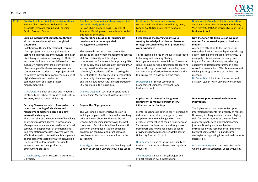

| 11:50 | <b>Breakout iv: Interdisciplinary collaborations</b><br>Session Chair: Professor Helen Williams,<br><b>Associate Dean of Learning and Teaching,</b><br><b>Cardiff Business School</b>                                                                                                                                                                                                                                                                                                                                                                                                                                                                                                                  | <b>Breakout v: Developing enterprising, ethical</b><br>and work-ready graduates<br>Session Chair: Pradeep Passi, Director of<br>Academic Development, Lancashire School of<br><b>Business &amp; Enterprise</b>                                                                                                                                                                                                                                                                                                                                                                                                                                                | <b>Breakout vi: Personalised learning</b><br>Session Chair: Sarah Moore-Williams, Dean,<br>London South Bank University, School of<br><b>Business</b>                                                                                                                                                                                                                                                                                                                                                                                                                                              | <b>Breakout vii: Outside of the box education</b><br>Session Chair: Professor Georgina Andrews,<br>Vice Provost, Bath Spa University; Dean, Bath<br><b>Business School</b>                                                                                                                                                                                                                                                                                                                                                                                                       |
|-------|--------------------------------------------------------------------------------------------------------------------------------------------------------------------------------------------------------------------------------------------------------------------------------------------------------------------------------------------------------------------------------------------------------------------------------------------------------------------------------------------------------------------------------------------------------------------------------------------------------------------------------------------------------------------------------------------------------|---------------------------------------------------------------------------------------------------------------------------------------------------------------------------------------------------------------------------------------------------------------------------------------------------------------------------------------------------------------------------------------------------------------------------------------------------------------------------------------------------------------------------------------------------------------------------------------------------------------------------------------------------------------|----------------------------------------------------------------------------------------------------------------------------------------------------------------------------------------------------------------------------------------------------------------------------------------------------------------------------------------------------------------------------------------------------------------------------------------------------------------------------------------------------------------------------------------------------------------------------------------------------|----------------------------------------------------------------------------------------------------------------------------------------------------------------------------------------------------------------------------------------------------------------------------------------------------------------------------------------------------------------------------------------------------------------------------------------------------------------------------------------------------------------------------------------------------------------------------------|
|       | <b>Building intercultural competence through</b><br>virtual team collaboration across global<br>classrooms<br>Collaborative Online International Learning<br>(COIL) projects incorporate globalisation,<br>technological progress, intercultural and inter-<br>disciplinary experiential learning. In 2017/18<br>instructors in four countries delivered a cross-<br>cultural, virtual teams' project involving a<br>diverse range of business management and<br>communication students. The project aimed<br>to improve intercultural competencies, use of<br>digital channels in cross-border<br>communication and team project<br>management skills.<br>Izzy Crawford, Senior Lecturer and Academic | Incorporating education for sustainable<br>development in the supply chain<br>management curriculum<br>This research aims to assess current ESD<br>practices of supply chain management courses<br>at Aston University and develop a<br>comprehensive framework for improving ESD<br>in the supply chain management curriculum. A<br>survey questionnaire was employed to<br>University's academic staff for assessing the<br>current state of ESD practices implementation<br>in the supply chain management curriculum<br>and their views about future incorporation of<br>ESD practices in the curriculum.<br>Dr Stella Despoudi, Lecturer in Operations & | Personalising the learning journey: Co-<br>creating knowledge in a diverse classroom<br>through personal reflection of professional<br>work experience<br>This research explores an innovative approach<br>to learning and teaching Strategic<br>Management at a Business School. The model<br>is built around personalising students' learning<br>journey through cases that they write, based<br>on their own professional experience and the<br>topics covered in class during the term.<br>Dr Asad Ghalib, Senior Lecturer in<br>Management Sciences, Liverpool Hope<br><b>Business School</b> | New life for an old trick: Use of live case<br>method for improved impact of business<br>schools<br>A renewed attention to the live case can<br>strengthen business school legitimacy through<br>action learning and engaged scholarship. To<br>exemplify this we review the design and<br>impact of an award winning decade-long<br>executive education programme in a top-<br>ranked business school. We discuss ways and<br>challenges for greater use of the live case<br>method.<br>Dr Yasser Bhatti, Lecturer, Innovation and<br>Strategy, Queen Mary University of London |
|       | Strategic Lead, School of Creative and Cultural<br>Business, Robert Gordon University                                                                                                                                                                                                                                                                                                                                                                                                                                                                                                                                                                                                                  | Supply Chain Management, Aston University                                                                                                                                                                                                                                                                                                                                                                                                                                                                                                                                                                                                                     | <b>Application of the Mental Toughness</b><br>Framework to measure impact of PPD                                                                                                                                                                                                                                                                                                                                                                                                                                                                                                                   | How to support international students<br>innovatively                                                                                                                                                                                                                                                                                                                                                                                                                                                                                                                            |
|       | Carrying Newcastle coals to Amsterdam: the                                                                                                                                                                                                                                                                                                                                                                                                                                                                                                                                                                                                                                                             | <b>Beyond the BE programme</b>                                                                                                                                                                                                                                                                                                                                                                                                                                                                                                                                                                                                                                | initiatives: initial findings                                                                                                                                                                                                                                                                                                                                                                                                                                                                                                                                                                      |                                                                                                                                                                                                                                                                                                                                                                                                                                                                                                                                                                                  |
|       | launch and running of a business and                                                                                                                                                                                                                                                                                                                                                                                                                                                                                                                                                                                                                                                                   |                                                                                                                                                                                                                                                                                                                                                                                                                                                                                                                                                                                                                                                               |                                                                                                                                                                                                                                                                                                                                                                                                                                                                                                                                                                                                    | The higher education sector relies upon                                                                                                                                                                                                                                                                                                                                                                                                                                                                                                                                          |
|       | management master's degree at a new<br>international campus<br>This paper shares the experience of launching<br>an existing master's degree in International<br>Management at a newly formed international<br>campus. The paper looks at the design and<br>implementation processes involved with the<br>MSc Business with International Management<br>degree largely targeted for Dutch conversion<br>(to business) undergraduates seeking to<br>enhance their personal profile and<br>employment prospects.                                                                                                                                                                                          | This workshop is an interactive session in<br>which participants will both practice coaching<br>skills and learn about London Southbank<br>University's coaching journey over the past<br>three years. Participants will walk away with<br>clarity on the impact a student-coaching<br>programme can have and practical ways<br>positive education can be embedded in the<br>curriculum.<br>Faye Kilgour, Business School - Coaching Lead,<br>London Southbank University Business School                                                                                                                                                                     | Mental Toughness is defined as: "A personality<br>trait which determines, in large part, how<br>people respond to challenge, stress and<br>pressure, irrespective of their circumstances".<br>This session outlines the mental toughness<br>framework and how it has been applied to<br>provide insight to Manchester Metropolitan<br>University Business School.<br>Nick Dearden, Head of Education, Faculty of<br>Business and Law, Manchester Metropolitan<br>University                                                                                                                        | international students for a variety of reasons.<br>However, it is frequently not a level playing<br>field for these students as they can face<br>numerous challenges along their learning<br>journey. Drawing upon mechanisms<br>introduced by the researcher this paper will<br>highlight some of the tried and tested<br>strategies in supporting international students<br>successfully.<br>Dr Yvonne Moogan, Associate Professor for<br><b>Online Business Education, Leeds University</b>                                                                                  |
|       | Dr Paul Copley, Senior Lecturer, Northumbria<br>University                                                                                                                                                                                                                                                                                                                                                                                                                                                                                                                                                                                                                                             |                                                                                                                                                                                                                                                                                                                                                                                                                                                                                                                                                                                                                                                               | Toni Molyneux, Business Psychologist and<br>Project Manager, AQR International                                                                                                                                                                                                                                                                                                                                                                                                                                                                                                                     |                                                                                                                                                                                                                                                                                                                                                                                                                                                                                                                                                                                  |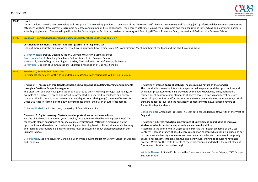

| 13:00 | Lunch<br>During the lunch break a short workshop will take place. This workshop provides an overview of the Chartered ABS"s Leaders in Learning and Teaching (LLT) professional development programme.<br>Attendees will hear from current programme delegates and alumni on their experiences, their career path since joining the programme and their aspirations for teaching and learning in business<br>schools going forward. The workshop will be led by Debra Leighton, Facilitator, Leaders in Learning and Teaching (LLT) and Executive Dean, University of Bedfordshire Business School                                                                                                                                                                                                                                                                                                                                                                                                                                                                                                                                                                                                                                                                          |                                                                                                                                                                                                                                                                                                                                                                                                                                                                                                                                                                                                                                                                                                                                                                                                                                                                                                                                                                                                                                                                                                                                                                                                                                                                                                                                                                    |
|-------|-----------------------------------------------------------------------------------------------------------------------------------------------------------------------------------------------------------------------------------------------------------------------------------------------------------------------------------------------------------------------------------------------------------------------------------------------------------------------------------------------------------------------------------------------------------------------------------------------------------------------------------------------------------------------------------------------------------------------------------------------------------------------------------------------------------------------------------------------------------------------------------------------------------------------------------------------------------------------------------------------------------------------------------------------------------------------------------------------------------------------------------------------------------------------------------------------------------------------------------------------------------------------------|--------------------------------------------------------------------------------------------------------------------------------------------------------------------------------------------------------------------------------------------------------------------------------------------------------------------------------------------------------------------------------------------------------------------------------------------------------------------------------------------------------------------------------------------------------------------------------------------------------------------------------------------------------------------------------------------------------------------------------------------------------------------------------------------------------------------------------------------------------------------------------------------------------------------------------------------------------------------------------------------------------------------------------------------------------------------------------------------------------------------------------------------------------------------------------------------------------------------------------------------------------------------------------------------------------------------------------------------------------------------|
| 14:00 | Breakout i. Certified Management & Business Educator (CMBE): Briefing and Q&A                                                                                                                                                                                                                                                                                                                                                                                                                                                                                                                                                                                                                                                                                                                                                                                                                                                                                                                                                                                                                                                                                                                                                                                               |                                                                                                                                                                                                                                                                                                                                                                                                                                                                                                                                                                                                                                                                                                                                                                                                                                                                                                                                                                                                                                                                                                                                                                                                                                                                                                                                                                    |
|       | Certified Management & Business Educator (CMBE): Briefing and Q&A<br>Find out more about the application criteria, how to apply and how to meet your CPD commitment. Meet members of the team and the CMBE working group.                                                                                                                                                                                                                                                                                                                                                                                                                                                                                                                                                                                                                                                                                                                                                                                                                                                                                                                                                                                                                                                   |                                                                                                                                                                                                                                                                                                                                                                                                                                                                                                                                                                                                                                                                                                                                                                                                                                                                                                                                                                                                                                                                                                                                                                                                                                                                                                                                                                    |
|       | Dr Toby Watson, Deputy Dean (Education), Durham University Business School<br>Sarah Honeychurch, Teaching Excellence Fellow, Adam Smith Business School<br>Nicola Scull, Head of Digital Learning & Libraries, The London Institute of Banking & Finance<br>Barney Roe, Director of Communications, Chartered Association of Business Schools                                                                                                                                                                                                                                                                                                                                                                                                                                                                                                                                                                                                                                                                                                                                                                                                                                                                                                                               |                                                                                                                                                                                                                                                                                                                                                                                                                                                                                                                                                                                                                                                                                                                                                                                                                                                                                                                                                                                                                                                                                                                                                                                                                                                                                                                                                                    |
| 14:00 | <b>Breakout ii, Roundtable Discussions</b><br>Participants can select 1 of the 15 roundtable discussions. Each roundtable will last up to 60min                                                                                                                                                                                                                                                                                                                                                                                                                                                                                                                                                                                                                                                                                                                                                                                                                                                                                                                                                                                                                                                                                                                             |                                                                                                                                                                                                                                                                                                                                                                                                                                                                                                                                                                                                                                                                                                                                                                                                                                                                                                                                                                                                                                                                                                                                                                                                                                                                                                                                                                    |
|       | Discussion 1: "Escaping" traditional technologies: Generating stimulating learning environments<br>through a OneNote Escape Room game<br>This discussion explores how gamification can be used to enrich learning, through technology. An<br>example of a OneNote "Escape Room" will be presented, as a method to challenge and engage<br>students. The discussion poses three fundamental questions relating to (a) the role of Microsoft<br>Office 365 Apps in learning (b) the buy-in of students and (c) the buy-in of tutors/academics.<br>Dr Emma Thirkell, Senior Lecturer, University of Central Lancashire<br>Discussion 2: Digital learning: Obstacles and opportunities for business schools<br>Has the digital revolution passed your school by? Are you untouched by online possibilities? This<br>roundtable blends experience of on-line course certification (EFMD) with a discussion on the<br>opportunities and barriers that on-line learning and teaching heralds. Aimed at leaders in learning<br>and teaching this roundtable aims to raise the level of discussion about digital education in our<br><b>Business Schools.</b><br>Dr Keith Pond, Senior Lecturer in Banking & Economics, Loughborough University, School of Business<br>and Economics | Discussion 9: Degree apprenticeships: The disciplining nature of the standard<br>This roundtable discussion intends to engender a dialogue around the opportunities and<br>challenges presented to training providers by the new Knowledge, Skills, Behaviours<br>framework of apprenticeship standards at degree level. Of particular interest here are<br>potential opportunities and/or tensions between our goal to develop independent, critical<br>thinkers at degree level and the regulatory, competency framework based nature of<br>Apprenticeship Standards.<br>Doris Schedlitzki, Associate Professor in Organisational Leadership, University of the West of<br>England<br>Discussion 10: Stress reduction programmes at university as an initiative to improve<br>student academic performance, experience and employability<br>According to the World Health Organisation, stress is the "health epidemic of the 21st<br>Century". There is a range of possible stress reduction content which can be included as part<br>of compulsory university modules or extracurricular activities and these vary from purely<br>educational content, through cognitive and behavioural training to regular mindfulness<br>practice. What are the costs-benefits of these programmes and what is the most efficient<br>formula for a business school setting? |
|       |                                                                                                                                                                                                                                                                                                                                                                                                                                                                                                                                                                                                                                                                                                                                                                                                                                                                                                                                                                                                                                                                                                                                                                                                                                                                             | Wioletta Nawrot, Affiliate Professor in the Economics, Law and Social Science, ESCP Europe<br><b>Business School</b>                                                                                                                                                                                                                                                                                                                                                                                                                                                                                                                                                                                                                                                                                                                                                                                                                                                                                                                                                                                                                                                                                                                                                                                                                                               |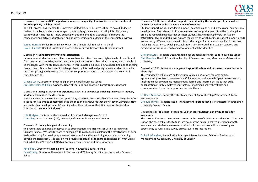#### #I TSF2019



#### Discussion 3: **How has BSIS helped us to improve the quality of and/or increase the number of interdisciplinary collaborations?**

The BSIS process has enabled the University of Bedfordshire Business School to do a 360-degree review of the faculty which was integral to establishing the weave of existing interdisciplinary collaborations. The faculty is now building on this implementing a strategy to improve the connections and activity of both staff and students inside and outside of the immediate environs.

Samira Hussain, Senior Tutor in Law, University of Bedfordshire Business School David Chalcraft, Head of Quality and Practice, University of Bedfordshire Business School

#### Discussion 4: **Enhancing international orientation**

International students are a positive resource to universities. However, higher levels of recruitment from one or two countries, means that they significantly outnumber other students, which may lead to challenges with the student experience. In this roundtable discussion, we share findings of ongoing research and discuss the current challenges faced by international postgraduate students and what measures (if any) you have in place to better support international students during the cultural transition period.

Dr Jane Lynch, Director of Student Experience, Cardiff Business School Professor Helen Williams, Associate Dean of Learning and Teaching, Cardiff Business School

#### Discussion 5: **Bringing placement experience back in to university: Enriching final year in industry students' learning in the classroom**

Work placements give students the opportunity to learn in and through employment. They also offer a space for students to contextualise the theories and frameworks that they study in university. How we can further develop students' learning when they return for their final year of studies after completing their Year in Industry?

Julia Hodgson, Lecturer at the University of Liverpool Management School Liz Crolley, Associate Dean (UG), University of Liverpool Management School

#### Discussion 6: **I really feel part of something**

This roundtable explores our approach to arresting declining NSS metrics within our large UK Business School. We look forward to engaging with colleagues in exploring the effectiveness of peerassisted learning for developing a sense-of-community and for enriching our students' 'learning beyond the classroom'. The session will provide opportunities to share experiences of 'what works' and 'what doesn't work' in PALS to inform our own scheme and those of others.

Kate Black, Director of Learning and Teaching, Newcastle Business School Pam Croney, Director of Recruitment, Outreach and Widening Participation, Newcastle Business School

#### Discussion 11: **Business student support: Understanding the landscape of personalised learning experiences for a diverse range of students**

Student support includes academic support, pastoral support, and professional and personal development. The take up of different elements of support appears to differ by discipline area, and research suggests that business students have differing drivers for student satisfaction. This roundtable will explore the extent to which business student support needs are currently differentiated. We will discuss the range of interventions applied in practice, including the extent to which personalisation is incorporated into student support, and directions for future research and development will be identified.

Dr Maria Kutar, Associate Dean Academic for Student Experience, Salford Business School Nick Dearden, Head of Education, Faculty of Business and Law, Manchester Metropolitan University

#### Discussion 12: **Professional management apprenticeships and partnered innovation with blue-chips**

This round table will discuss building successful collaborations for large degree apprenticeship contracts. We examine: Collaborative curriculum design processes and its implications for programme management; formal and informal activities that build collaboration in large employer contracts; re-imagining quality thresholds and communication loops that support contract fulfilment.

#### Dr Dane Anderton, Deputy Director Management Apprenticeship Programme, Alliance Business School

Dr Paula Turner, Associate Head - Management Apprenticeships, Manchester Metropolitan University Business School

#### Discussion 13: **Tablet use in teaching: Call for contributions to an attitude scale for academics**

The current literature shows mixed results on the use of tablets as an educational tool in HE. But off-the-shelf tablets fail to take into account the educational requirements of both academics and students, an essential criterion for success. We will be discussing an opportunity to run a Scale Survey across several HE institutions.

Dr Fadi Safieddine, Accreditation Manager / Senior Lecturer, School of Business and Management, Queen Mary University of London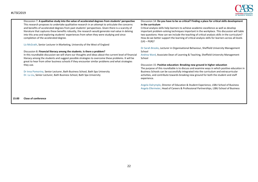

Discussion 7: **A qualitative study into the value of accelerated degrees from students' perspective** This research proposes to undertake qualitative research in an attempt to articulate the concerns and benefits of accelerated degrees from past students' perspectives. Given there is a scarcity of literature that captures these benefits robustly, the research would generate real value in delving into this area and exploring students' experiences from when they were studying and since completion of the accelerated degree.

Liz McGrath, Senior Lecturer in Marketing, University of the West of England

#### Discussion 8: **Financial literacy among the students. Is there a problem?**

In this roundtable discussion we will share our thoughts and ideas about the current level of financial literacy among the students and suggest possible strategies to overcome these problems. It will be great to hear from other business schools if they encounter similar problems and what strategies they use.

Dr Inna Pomorina, Senior Lecturer, Bath Business School, Bath Spa University Dr. Lu Liu, Senior Lecturer, Bath Business School, Bath Spa University

#### Discussion 14: **Do you have to be so critical? Finding a place for critical skills development in the curriculum**

Critical analysis skills help learners to achieve academic excellence as well as develop important problem-solving techniques important in the workplace. This discussion will table two questions: How can we include the teaching of critical analysis skills in the curriculum? How do we better support the learning of critical analysis skills for learners across all levels (UG – PGR)?

Dr Sarah Brooks, Lecturer in Organisational Behaviour, Sheffield University Management School

Andrea Ward, Associate Dean of Learning & Teaching, Sheffield University Management School

#### Discussion 15: **Positive education: Breaking new ground in higher education**

The purpose of this roundtable is to discuss and examine ways in which positive education in Business Schools can be successfully integrated into the curriculum and extracurricular activities, and contribute towards breaking new ground for both the student and staff experience.

Angela Dalrymple, Director of Education & Student Experience, LSBU School of Business Angela Ellermeier, Head of Careers & Professional Partnerships, LSBU School of Business

**15:00 Close of conference**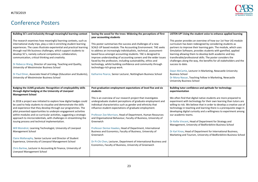## Conference Posters

| Building 5C's and inclusivity through meaningful learning context     | Seeing the wood for the trees: Widening the perceptions of first   | LISTEN UP! Using the student voice to enhance applied learning         |
|-----------------------------------------------------------------------|--------------------------------------------------------------------|------------------------------------------------------------------------|
|                                                                       | year accounting students                                           |                                                                        |
| The research examines how meaningful learning contexts, such as       |                                                                    | This poster provides an overview of how our 1st Year UG module         |
| international study trips, play a role in enriching student learning  | This poster summarises the success and challenges of a new         | curriculum has been redesigned by considering students as              |
| experiences. The cases illustrate experiential and practical learning | SCALE-UP based module: The Accounting Environment. TAE seeks       | partners to improve their learning gain. The module, which uses        |
| through real life business challenges, which support students to      | to address an increasingly individualistic, technical, assessment- | Simulation Software, provides students with gamified, applied          |
| develop 5C's, namely cultural competence, collaboration,              | based focus amongst accounting students. TAE is designed to        | learning allowing them to develop both academic and key                |
| communication, critical thinking and creativity.                      | improve understanding of accounting careers and the wider issues   | transferable/professional skills. The poster considers the             |
|                                                                       | faced by the profession, including sustainability, ethics and      | challenges along the way, the benefits for all stakeholders and the    |
| Dr Rebecca Wang, Director of Learning, Teaching and Quality,          | technology, whilst building confidence and community through       | success to date.                                                       |
| University of Westminster Business School                             | technology-rich group work.                                        |                                                                        |
|                                                                       |                                                                    | Dawn McCartie, Lecturer in Marketing, Newcastle University             |
| Dr Paul Elmer, Associate Head of College (Education and Students),    | Katharine Pearce, Senior Lecturer, Nottingham Business School      | <b>Business School</b>                                                 |
| University of Westminster Business School                             |                                                                    | Dr Mona Nassar, Teaching Fellow in Marketing, Newcastle                |
|                                                                       |                                                                    | <b>University Business School</b>                                      |
|                                                                       |                                                                    |                                                                        |
| Badging the ULMS graduate: Recognition of employability skills        | Post-graduation employment expectations of level five and six      | Building tutor confidence and aptitude for technology                  |
| through digital badging at the University of Liverpool                | students                                                           | experimentation                                                        |
| <b>Management School</b>                                              |                                                                    |                                                                        |
|                                                                       | This is an overview of our research project that investigates      | We often find that digital native students are more prepared to        |
| In 2018 a project was initiated to explore how digital badges could   | undergraduate student perceptions of graduate employment and       | experiment with technology for their own learning than tutors are      |
| be used to help students to visualise and demonstrate the skills      | individual characteristics such as gender and ethnicity that       | willing to risk. We believe that in order to develop a creative use of |
| and experience that they develop through our programmes. The          | influence student expectations of graduate employment.             | technology in teaching and learning there is a prerequisite stage in   |
| pilot presented opportunities to underpin engagement activities       |                                                                    | developing digital curiosity and a willingness to experiment among     |
| within modules and co-curricular activities, suggesting a strategic   | Professor Zoe Morrison, Head of Department, Human Resources        | our academic teams.                                                    |
| approach to microcredentials, with challenges in streamlining the     | and Organisational Behaviour, Faculty of Business, University of   |                                                                        |
| issuing process and technical implementation.                         | Greenwich                                                          | Dr Kellie Vincent, Head of Department for Strategy and                 |
|                                                                       |                                                                    | Management, University of Bedfordshire Business School                 |
| Will Moindrot, Learning Technologist, University of Liverpool         | Professor Denise Hawkes, Head of Department, International         |                                                                        |
| <b>Management School</b>                                              | Business and Economics, Faculty of Business, University of         | Dr Karl Knox, Head of Department for International Business,           |
|                                                                       | Greenwich                                                          | Marketing and Tourism, University of Bedfordshire Business School      |
| Claire Mallanaphy, Senior Lecturer and Director of Student            |                                                                    |                                                                        |
| Experience, University of Liverpool Management School                 | Dr Pi-Chi Chen, Lecturer, Department of International Business and |                                                                        |
|                                                                       | Economics, Faculty of Business, University of Greenwich            |                                                                        |
| Chris Barlow, Lecturer in Accounting & Finance, University of         |                                                                    |                                                                        |
| Liverpool Management School                                           |                                                                    |                                                                        |
|                                                                       |                                                                    |                                                                        |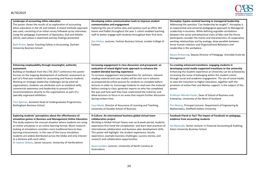# **CHARTERED ASSOCIATION<br>OF BUSINESS SCHOOLS**

| Landscape of accounting ethics education<br>This poster shows the results of an exploration of accounting<br>ethics education in the UK and Ireland. A mixed methods approach<br>was used, consisting of an initial survey followed up by interviews.<br>Using the pedagogic framework of Apostolou, Dull and Shliefer<br>(2013), each phase is examined and key findings presented.<br>Beth Picton, Senior Teaching Fellow in Accounting, Durham<br>University Business School                                                                                                                                                                                  | Developing online communication tools to improve student<br>communication and engagement<br>Exploring the use of online sites and systems such as office 365<br>teams and Padlet throughout the year 1 cohort enabled teaching<br>staff to better engage with students throughout their first term.<br>Zoe Hinton, Lecturer, Fashion Business School, London College of<br>Fashion                                                                                                                                                                                                                                                                                                                                                                                                  | Horseplay: Equine assisted learning in managerial leadership<br>Addressing the question 'Can leadership be taught?', Horseplay is<br>an experiential and sensorial pedagogical approach to Managerial<br>Leadership in business. While defining arguable correlations<br>between the social and behavioral traits of Man and the Horse,<br>participants consider the merits and characteristics of cooperative<br>working relationships and by analogy, draw parallels between<br>horse-human relations and Organizational Behaviors and<br>Leadership in the workplace.<br>Nancy Armstrong, Deputy Director of Pedagogy. Grenoble Ecole de<br>Management                                                   |
|------------------------------------------------------------------------------------------------------------------------------------------------------------------------------------------------------------------------------------------------------------------------------------------------------------------------------------------------------------------------------------------------------------------------------------------------------------------------------------------------------------------------------------------------------------------------------------------------------------------------------------------------------------------|-------------------------------------------------------------------------------------------------------------------------------------------------------------------------------------------------------------------------------------------------------------------------------------------------------------------------------------------------------------------------------------------------------------------------------------------------------------------------------------------------------------------------------------------------------------------------------------------------------------------------------------------------------------------------------------------------------------------------------------------------------------------------------------|-------------------------------------------------------------------------------------------------------------------------------------------------------------------------------------------------------------------------------------------------------------------------------------------------------------------------------------------------------------------------------------------------------------------------------------------------------------------------------------------------------------------------------------------------------------------------------------------------------------------------------------------------------------------------------------------------------------|
| Enhancing employability through meaningful, authentic<br>assessment<br>Building on feedback from the LTSE 2017 conference this poster<br>focuses on the ongoing development of authentic assessment as<br>part of a final year module for accounting and finance students.<br>Working on strategic leadership challenges set by external<br>organisations, students use attributes such as analytical skills,<br>commercial awareness and leadership to present their<br>recommendations directly to the organisations as part of a<br>specially organised exhibition.<br>Tom Spencer, Assistant Head of Undergraduate Programmes,<br>Nottingham Business School | Increasing engagement in class discussion and groupwork: an<br>evaluation of mixed digital tools approach to enhance the<br>student blended learning experience<br>To increase engagement and preparation for seminars, relevant<br>reading material and case studies will be sent out in advance<br>accompanied by online quizzes for students to complete before<br>lectures in order to: Encourage students to read over the material<br>before coming to class; generate reports on who has completed<br>the quiz and how well they have understood the material; and<br>allow lecturers to focus in on areas that require further discussion<br>during contact time.<br>Lissa Monk, Director of Assurance of Learning and Teaching,<br>University of Dundee School of Business | Co-creating enhanced transitions: engaging students in<br>developing social media supported transitions to the university<br>Enhancing the student experience at University can be achieved by<br>increasing the sense of belonging within the student cohort<br>through social and academic engagement. The use of social media<br>to ease the transition to Higher Education, together with the<br>provision of online Peer and Mentor support, is the subject of this<br>poster.<br>Professor Monika Foster, Dean of School of Business and<br>Enterprise, University of the West of Scotland<br>Tim Mulroy, Principal Lecturer, Department of Engineering &<br>Mathematics, Sheffield Hallam University |
| Exploring students' perceptions about the effectiveness of<br>simulation games in Business and Management Online Education<br>The study explores the unusual situation where students are using<br>an online simulation in an online learning format. Much research<br>looking at simulations considers more traditional face-to-face<br>learning environments. In the case of the Icarus simulation,<br>students are widely distributed across the Globe and only interact<br>at a distance with each other.<br>Dr Ioannis Gkliatis, Senior Lecturer, University of Hertfordshire                                                                               | X-Culture: An international business global-virtual-team<br>collaboration project<br>Working in Global-Virtual-Teams over an 8-week period, students<br>experience first-hand the complexities -and learn best practices of<br>international collaboration and business plan development skills.<br>This poster will highlight: the student experience; faculty<br>experience; example business challenges; success stories; and<br>research and collaboration opportunities.<br>Karen Lynden, Lecturer, University of North Carolina at<br>Greensboro                                                                                                                                                                                                                              | Facebook friend or foe? The Impact of Facebook on pedagogy,<br>evidence from accounting students<br>Ilas Basioudis, Senior Lecturer in Financial Accounting & Auditing,<br>Aston University Business School                                                                                                                                                                                                                                                                                                                                                                                                                                                                                                 |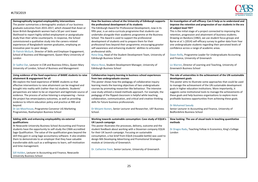| Demographically targeted employability interventions<br>The poster summarises a demographic analysis of our business<br>graduate outcomes from 2015-2017, which showed that Asian or<br>Asian British Bangladeshi women had a 50 per cent lower<br>likelihood to report highly-skilled employment or postgraduate<br>study than their white counterparts. In response, the School<br>commissioned a qualitative study into the careers-related<br>experiences of Bangladeshi women graduates, employing an<br>innovative peer-to-peer design.<br>Dr Patrick McGurk, Director of Skills and Employer Engagement,<br>School of Business and Management, Queen Mary University of<br>London | How the business school at the University of Edinburgh supports<br>the professional development of its students<br>The Edinburgh Award for Professional Development, now in its<br>fifth year, is an extra-curricula programme that students can<br>undertake alongside their academic programme at the Business<br>School. The Award is used to support the professional<br>development of students and to prepare them for their<br>professional lives beyond their programme; encouraging greater<br>self-awareness and enhancing students' abilities to articulate<br>professional skills.<br>Rona Doig, Head of the Student Development Team, University of<br>Edinburgh Business School | An investigation of self-efficacy: Can it help us to understand and<br>improve the retention and progression of our students in the era<br>of subject level TEF?<br>This is the initial stage of a project connected to improving the<br>retention, progression and attainment of business students.<br>Drawing on Bandura (1982), we use student focus groups and<br>Byrne et al.'s (2014) self-efficacy survey to gather data from Year<br>one undergraduate students regarding their perceived levels of<br>confidence across a range of academic areas.<br>Dawn Reilly, Programme Leader for Undergraduate Accounting<br>and Finance, University of Greenwich |
|------------------------------------------------------------------------------------------------------------------------------------------------------------------------------------------------------------------------------------------------------------------------------------------------------------------------------------------------------------------------------------------------------------------------------------------------------------------------------------------------------------------------------------------------------------------------------------------------------------------------------------------------------------------------------------------|-----------------------------------------------------------------------------------------------------------------------------------------------------------------------------------------------------------------------------------------------------------------------------------------------------------------------------------------------------------------------------------------------------------------------------------------------------------------------------------------------------------------------------------------------------------------------------------------------------------------------------------------------------------------------------------------------|-------------------------------------------------------------------------------------------------------------------------------------------------------------------------------------------------------------------------------------------------------------------------------------------------------------------------------------------------------------------------------------------------------------------------------------------------------------------------------------------------------------------------------------------------------------------------------------------------------------------------------------------------------------------|
| Dr Sadhvi Dar, Lecturer in CSR and Business Ethics, Queen Mary<br>University of London, School of Business and Management                                                                                                                                                                                                                                                                                                                                                                                                                                                                                                                                                                | Marco Rossi, Student Development Manager, University of<br>Edinburgh Business School                                                                                                                                                                                                                                                                                                                                                                                                                                                                                                                                                                                                          | Liz Warren, Director of Learning and Teaching, University of<br><b>Greenwich Business School</b>                                                                                                                                                                                                                                                                                                                                                                                                                                                                                                                                                                  |
| Using evidence of the lived experience of BAME students to raise<br>attainment & engagement for all<br>We explore the lived experience of BAME students so that<br>effective interventions to raise attainment can be imagined and<br>brought into reality with (rather than to) students. Students'<br>perspectives are taken to be an important and legitimate source of<br>evidence. The process of active listening is empowering - hence<br>the project has emancipatory outcomes, as well as providing<br>evidence to inform education policy and practice at RBS and<br>beyond.<br>Dr Jan Moorhouse, Programme Convenor UG Marketing<br>Programmes, Roehampton Business School    | Collaborative inquiry learning in business school experiences<br>from two undergraduate courses<br>This poster shows how the pedagogy of collaborative inquiry<br>learning meets the learning objectives of two undergraduate<br>courses by promoting researcher-like behaviour. The intensive<br>case study utilized a mixed-methods approach. For example, the<br>pedagogy of the flipped classroom is helpful while teaching<br>collaboration, communication, and critical and creative thinking<br>skills for future business professionals.<br>Dr Mirjami Ikonen, Senior Lecturer and Researcher, UEF Business<br>School.                                                                | The role of universities in the achievement of the UN sustainable<br>development goals<br>This poster aims to illustrate some approaches that could be used<br>to manage the achievement of the UN sustainable development<br>goals in higher education institutions. More importantly, it<br>suggests some institutional tools to manage the achievements of<br>these goals and help business organisations to explore more<br>profitable business opportunities from achieving these goals.<br><b>Dr Mohamed Saeudy</b><br>Senior Lecturer in Accounting and Finance, University of<br>Bedfordshire Business School                                             |
| Adding skills and enhancing employability via external<br>qualifications<br>At Newcastle University Business School Accounting and Finance<br>students have the opportunity to self-study the CIMA accredited<br>Sage Qualification. The value of the qualification goes beyond the<br>skill they gain in using Sage accountancy software. It also enables<br>them to demonstrate to an employer that they have valuable<br>transferrable skills such as a willingness to learn, self-motivation<br>and time management.<br>Gill Holden, Lecturer in Accounting and Finance, Newcastle<br><b>University Business School</b>                                                              | Working towards sustainable consumption: Case study of EQUA's<br><b>UK Launch campaign</b><br>This poster illustrates the processes, delivery, outcome and the<br>student feedback about working with a Slovenian company EQUA<br>for their UK launch campaign. Focusing on sustainable<br>consumption, a live brief from EQUA (reusable bottle) was used to<br>design MA Developing Advertising and Promotional Strategies<br>module at University of Greenwich.<br>Dr. Catherine Yoon, Senior Lecturer, University of Greenwich                                                                                                                                                             | Slow looking: The use of visual tools in teaching quantitative<br>methods<br>Dr Dragos Radu, Teaching Fellow in Economics, King's College<br>London                                                                                                                                                                                                                                                                                                                                                                                                                                                                                                               |